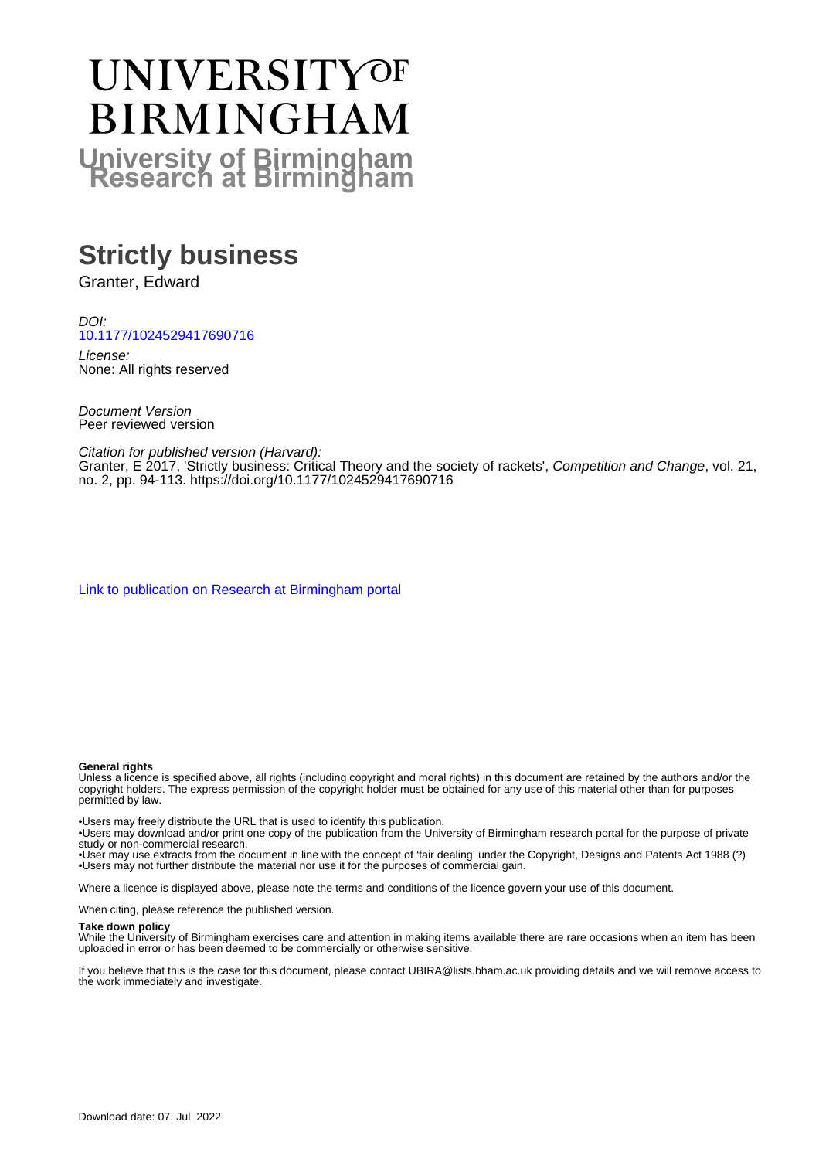# **UNIVERSITYOF BIRMINGHAM University of Birmingham**

## **Strictly business**

Granter, Edward

DOI: [10.1177/1024529417690716](https://doi.org/10.1177/1024529417690716)

License: None: All rights reserved

Document Version Peer reviewed version

Citation for published version (Harvard):

Granter, E 2017, 'Strictly business: Critical Theory and the society of rackets', Competition and Change, vol. 21, no. 2, pp. 94-113.<https://doi.org/10.1177/1024529417690716>

[Link to publication on Research at Birmingham portal](https://birmingham.elsevierpure.com/en/publications/fb371d29-54d6-41e8-9e13-3b9456043032)

#### **General rights**

Unless a licence is specified above, all rights (including copyright and moral rights) in this document are retained by the authors and/or the copyright holders. The express permission of the copyright holder must be obtained for any use of this material other than for purposes permitted by law.

• Users may freely distribute the URL that is used to identify this publication.

• Users may download and/or print one copy of the publication from the University of Birmingham research portal for the purpose of private study or non-commercial research.

• User may use extracts from the document in line with the concept of 'fair dealing' under the Copyright, Designs and Patents Act 1988 (?) • Users may not further distribute the material nor use it for the purposes of commercial gain.

Where a licence is displayed above, please note the terms and conditions of the licence govern your use of this document.

When citing, please reference the published version.

#### **Take down policy**

While the University of Birmingham exercises care and attention in making items available there are rare occasions when an item has been uploaded in error or has been deemed to be commercially or otherwise sensitive.

If you believe that this is the case for this document, please contact UBIRA@lists.bham.ac.uk providing details and we will remove access to the work immediately and investigate.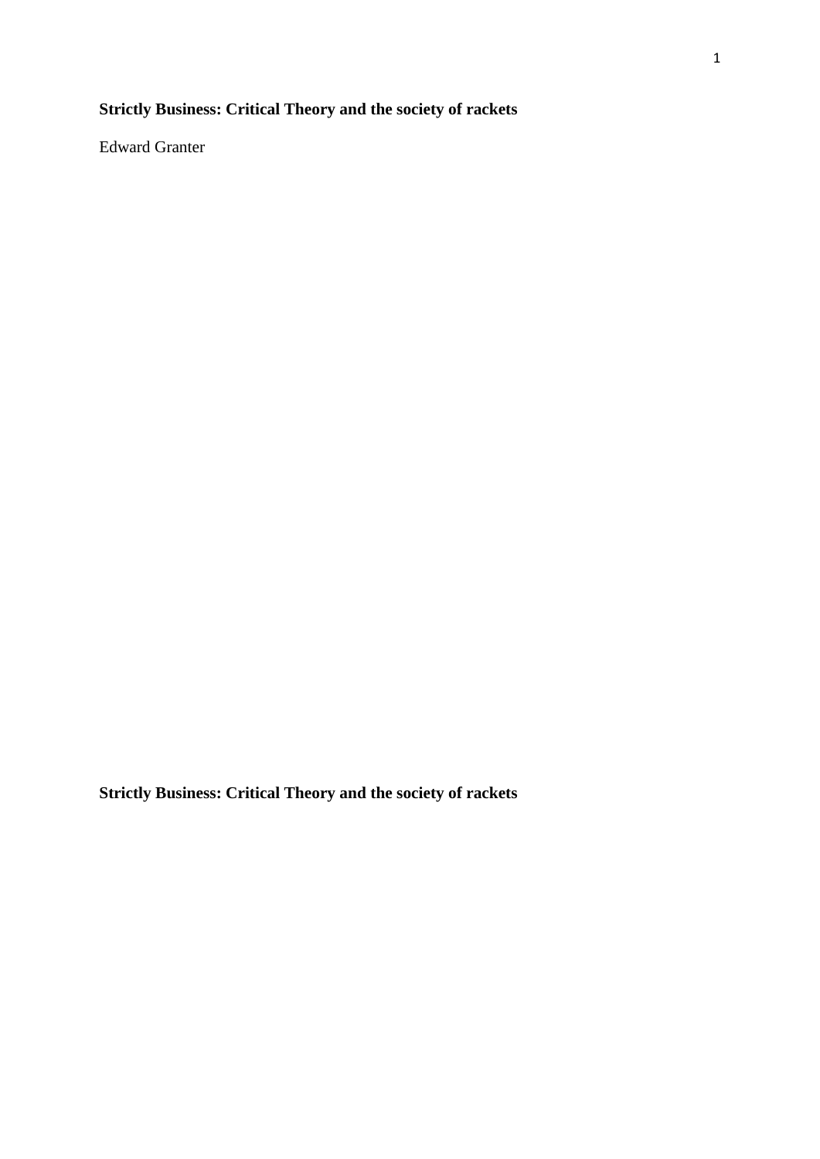### **Strictly Business: Critical Theory and the society of rackets**

Edward Granter

**Strictly Business: Critical Theory and the society of rackets**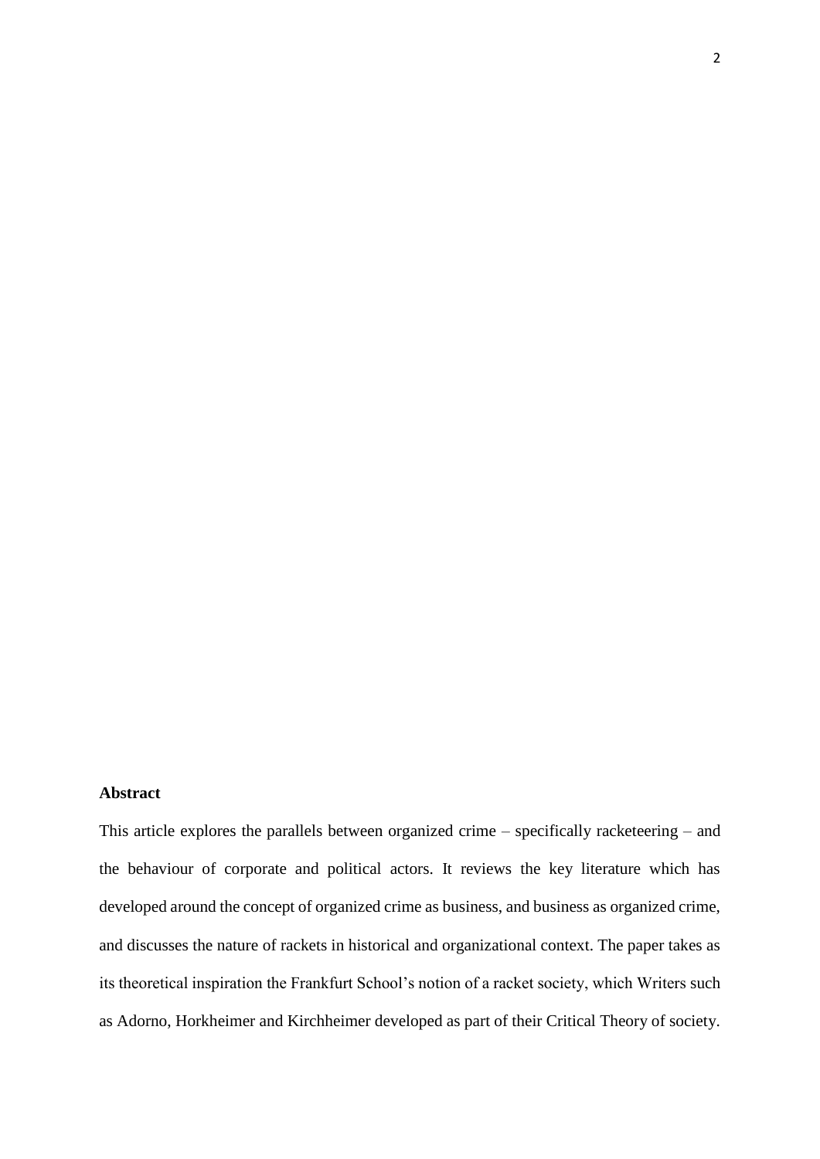#### **Abstract**

This article explores the parallels between organized crime – specifically racketeering – and the behaviour of corporate and political actors. It reviews the key literature which has developed around the concept of organized crime as business, and business as organized crime, and discusses the nature of rackets in historical and organizational context. The paper takes as its theoretical inspiration the Frankfurt School's notion of a racket society, which Writers such as Adorno, Horkheimer and Kirchheimer developed as part of their Critical Theory of society.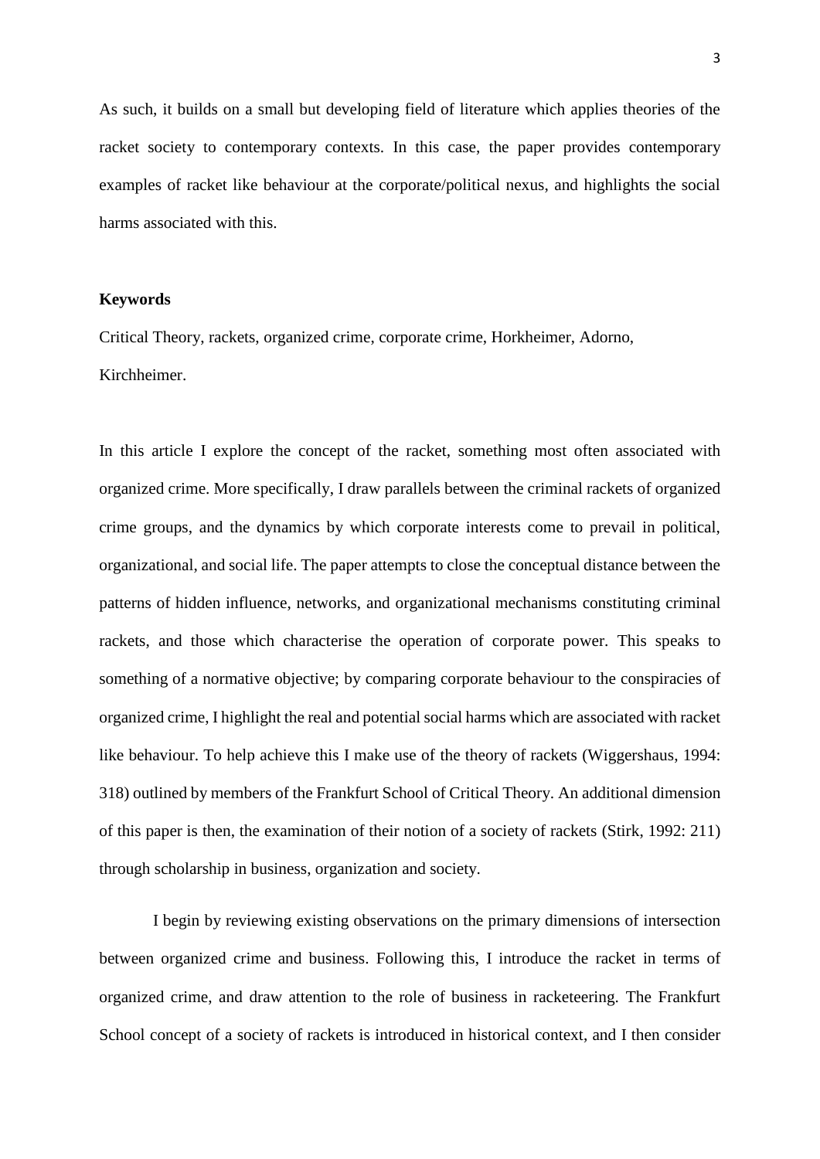As such, it builds on a small but developing field of literature which applies theories of the racket society to contemporary contexts. In this case, the paper provides contemporary examples of racket like behaviour at the corporate/political nexus, and highlights the social harms associated with this.

#### **Keywords**

Critical Theory, rackets, organized crime, corporate crime, Horkheimer, Adorno, Kirchheimer.

In this article I explore the concept of the racket, something most often associated with organized crime. More specifically, I draw parallels between the criminal rackets of organized crime groups, and the dynamics by which corporate interests come to prevail in political, organizational, and social life. The paper attempts to close the conceptual distance between the patterns of hidden influence, networks, and organizational mechanisms constituting criminal rackets, and those which characterise the operation of corporate power. This speaks to something of a normative objective; by comparing corporate behaviour to the conspiracies of organized crime, I highlight the real and potential social harms which are associated with racket like behaviour. To help achieve this I make use of the theory of rackets (Wiggershaus, 1994: 318) outlined by members of the Frankfurt School of Critical Theory. An additional dimension of this paper is then, the examination of their notion of a society of rackets (Stirk, 1992: 211) through scholarship in business, organization and society.

I begin by reviewing existing observations on the primary dimensions of intersection between organized crime and business. Following this, I introduce the racket in terms of organized crime, and draw attention to the role of business in racketeering. The Frankfurt School concept of a society of rackets is introduced in historical context, and I then consider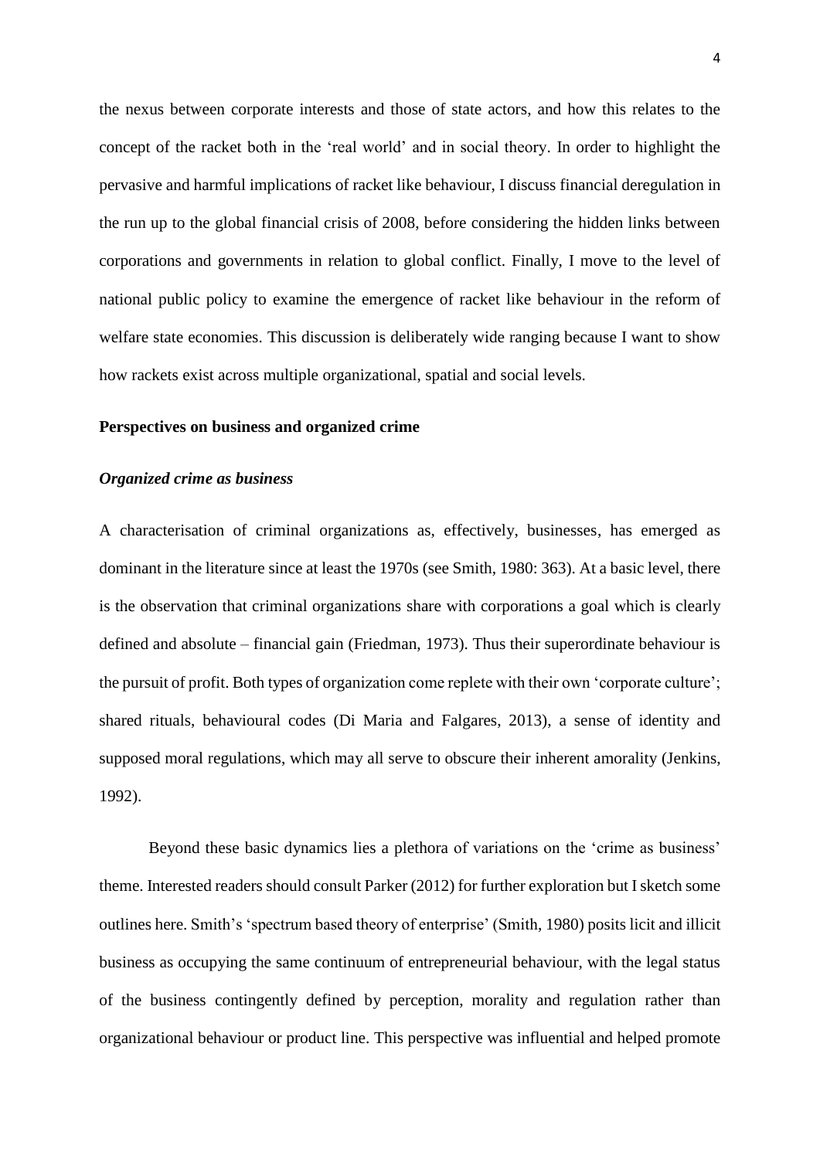the nexus between corporate interests and those of state actors, and how this relates to the concept of the racket both in the 'real world' and in social theory. In order to highlight the pervasive and harmful implications of racket like behaviour, I discuss financial deregulation in the run up to the global financial crisis of 2008, before considering the hidden links between corporations and governments in relation to global conflict. Finally, I move to the level of national public policy to examine the emergence of racket like behaviour in the reform of welfare state economies. This discussion is deliberately wide ranging because I want to show how rackets exist across multiple organizational, spatial and social levels.

#### **Perspectives on business and organized crime**

#### *Organized crime as business*

A characterisation of criminal organizations as, effectively, businesses, has emerged as dominant in the literature since at least the 1970s (see Smith, 1980: 363). At a basic level, there is the observation that criminal organizations share with corporations a goal which is clearly defined and absolute – financial gain (Friedman, 1973). Thus their superordinate behaviour is the pursuit of profit. Both types of organization come replete with their own 'corporate culture'; shared rituals, behavioural codes (Di Maria and Falgares, 2013), a sense of identity and supposed moral regulations, which may all serve to obscure their inherent amorality (Jenkins, 1992).

Beyond these basic dynamics lies a plethora of variations on the 'crime as business' theme. Interested readers should consult Parker (2012) for further exploration but I sketch some outlines here. Smith's 'spectrum based theory of enterprise' (Smith, 1980) posits licit and illicit business as occupying the same continuum of entrepreneurial behaviour, with the legal status of the business contingently defined by perception, morality and regulation rather than organizational behaviour or product line. This perspective was influential and helped promote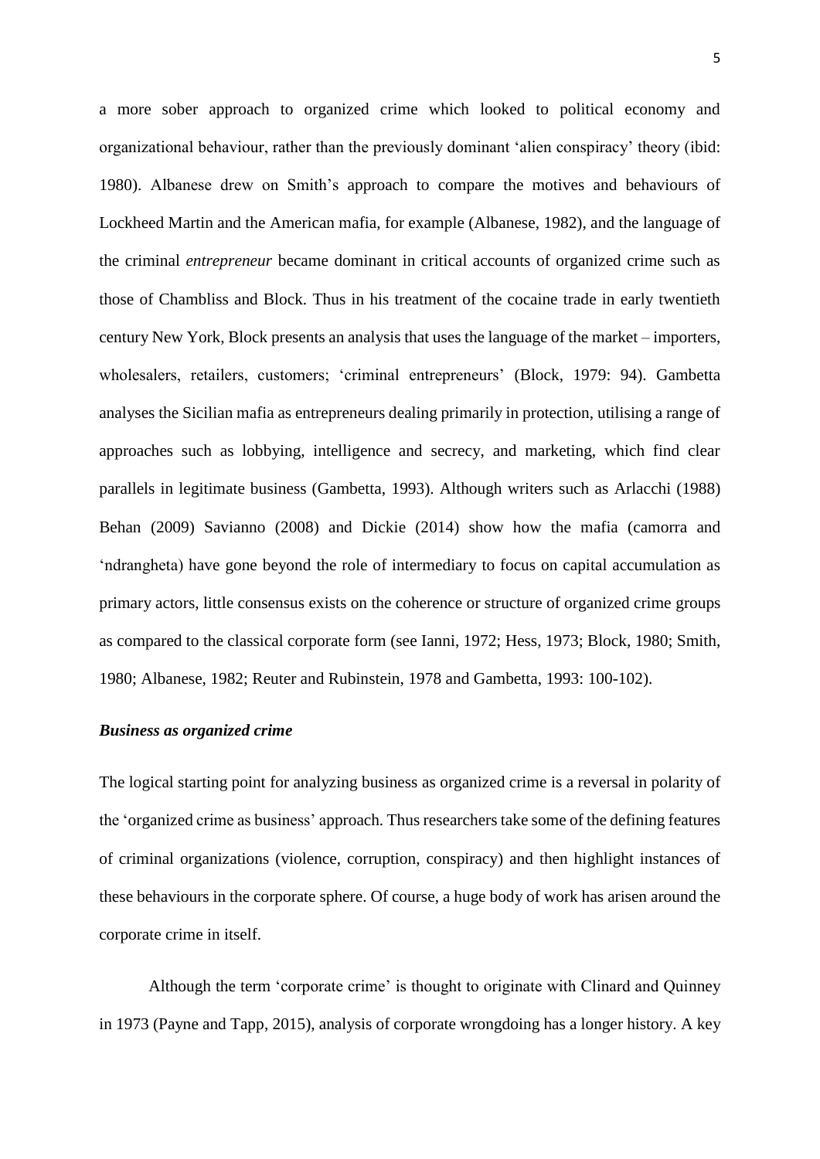a more sober approach to organized crime which looked to political economy and organizational behaviour, rather than the previously dominant 'alien conspiracy' theory (ibid: 1980). Albanese drew on Smith's approach to compare the motives and behaviours of Lockheed Martin and the American mafia, for example (Albanese, 1982), and the language of the criminal *entrepreneur* became dominant in critical accounts of organized crime such as those of Chambliss and Block. Thus in his treatment of the cocaine trade in early twentieth century New York, Block presents an analysis that uses the language of the market – importers, wholesalers, retailers, customers; 'criminal entrepreneurs' (Block, 1979: 94). Gambetta analyses the Sicilian mafia as entrepreneurs dealing primarily in protection, utilising a range of approaches such as lobbying, intelligence and secrecy, and marketing, which find clear parallels in legitimate business (Gambetta, 1993). Although writers such as Arlacchi (1988) Behan (2009) Savianno (2008) and Dickie (2014) show how the mafia (camorra and 'ndrangheta) have gone beyond the role of intermediary to focus on capital accumulation as primary actors, little consensus exists on the coherence or structure of organized crime groups as compared to the classical corporate form (see Ianni, 1972; Hess, 1973; Block, 1980; Smith, 1980; Albanese, 1982; Reuter and Rubinstein, 1978 and Gambetta, 1993: 100-102).

#### *Business as organized crime*

The logical starting point for analyzing business as organized crime is a reversal in polarity of the 'organized crime as business' approach. Thus researchers take some of the defining features of criminal organizations (violence, corruption, conspiracy) and then highlight instances of these behaviours in the corporate sphere. Of course, a huge body of work has arisen around the corporate crime in itself.

Although the term 'corporate crime' is thought to originate with Clinard and Quinney in 1973 (Payne and Tapp, 2015), analysis of corporate wrongdoing has a longer history. A key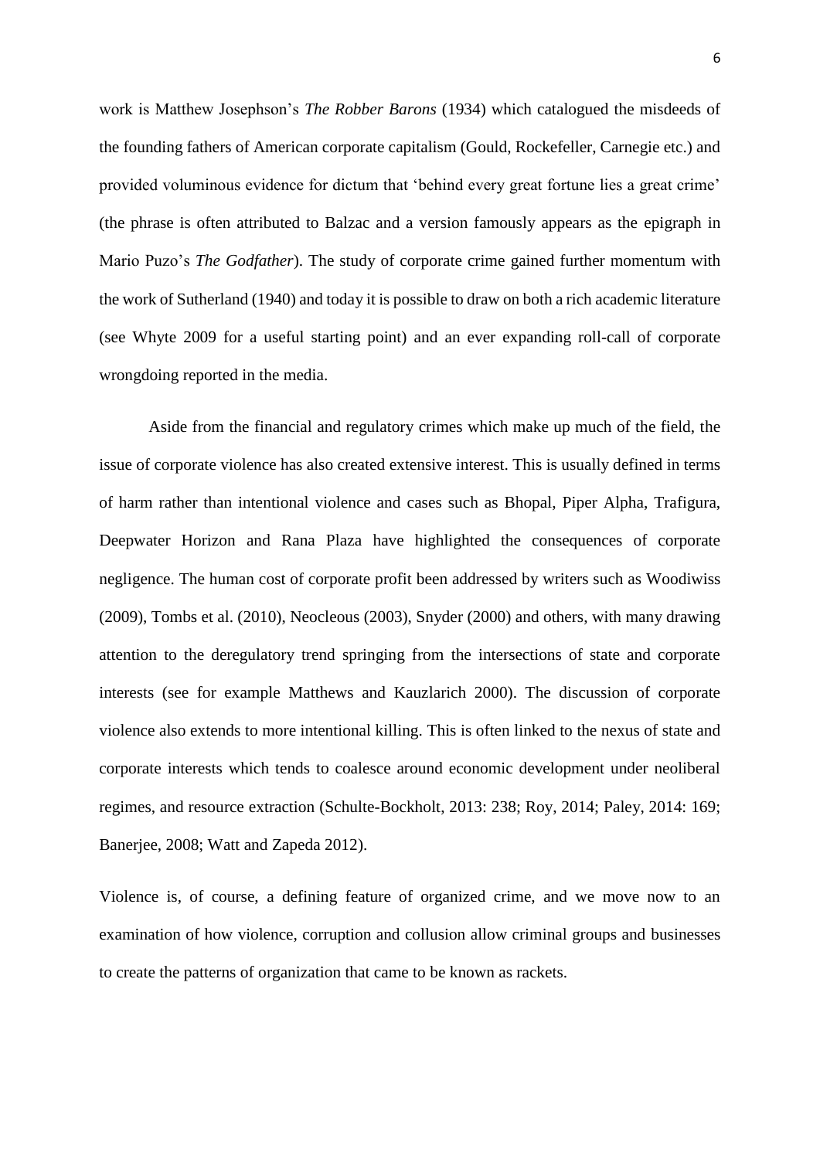work is Matthew Josephson's *The Robber Barons* (1934) which catalogued the misdeeds of the founding fathers of American corporate capitalism (Gould, Rockefeller, Carnegie etc.) and provided voluminous evidence for dictum that 'behind every great fortune lies a great crime' (the phrase is often attributed to Balzac and a version famously appears as the epigraph in Mario Puzo's *The Godfather*). The study of corporate crime gained further momentum with the work of Sutherland (1940) and today it is possible to draw on both a rich academic literature (see Whyte 2009 for a useful starting point) and an ever expanding roll-call of corporate wrongdoing reported in the media.

Aside from the financial and regulatory crimes which make up much of the field, the issue of corporate violence has also created extensive interest. This is usually defined in terms of harm rather than intentional violence and cases such as Bhopal, Piper Alpha, Trafigura, Deepwater Horizon and Rana Plaza have highlighted the consequences of corporate negligence. The human cost of corporate profit been addressed by writers such as Woodiwiss (2009), Tombs et al. (2010), Neocleous (2003), Snyder (2000) and others, with many drawing attention to the deregulatory trend springing from the intersections of state and corporate interests (see for example Matthews and Kauzlarich 2000). The discussion of corporate violence also extends to more intentional killing. This is often linked to the nexus of state and corporate interests which tends to coalesce around economic development under neoliberal regimes, and resource extraction (Schulte-Bockholt, 2013: 238; Roy, 2014; Paley, 2014: 169; Banerjee, 2008; Watt and Zapeda 2012).

Violence is, of course, a defining feature of organized crime, and we move now to an examination of how violence, corruption and collusion allow criminal groups and businesses to create the patterns of organization that came to be known as rackets.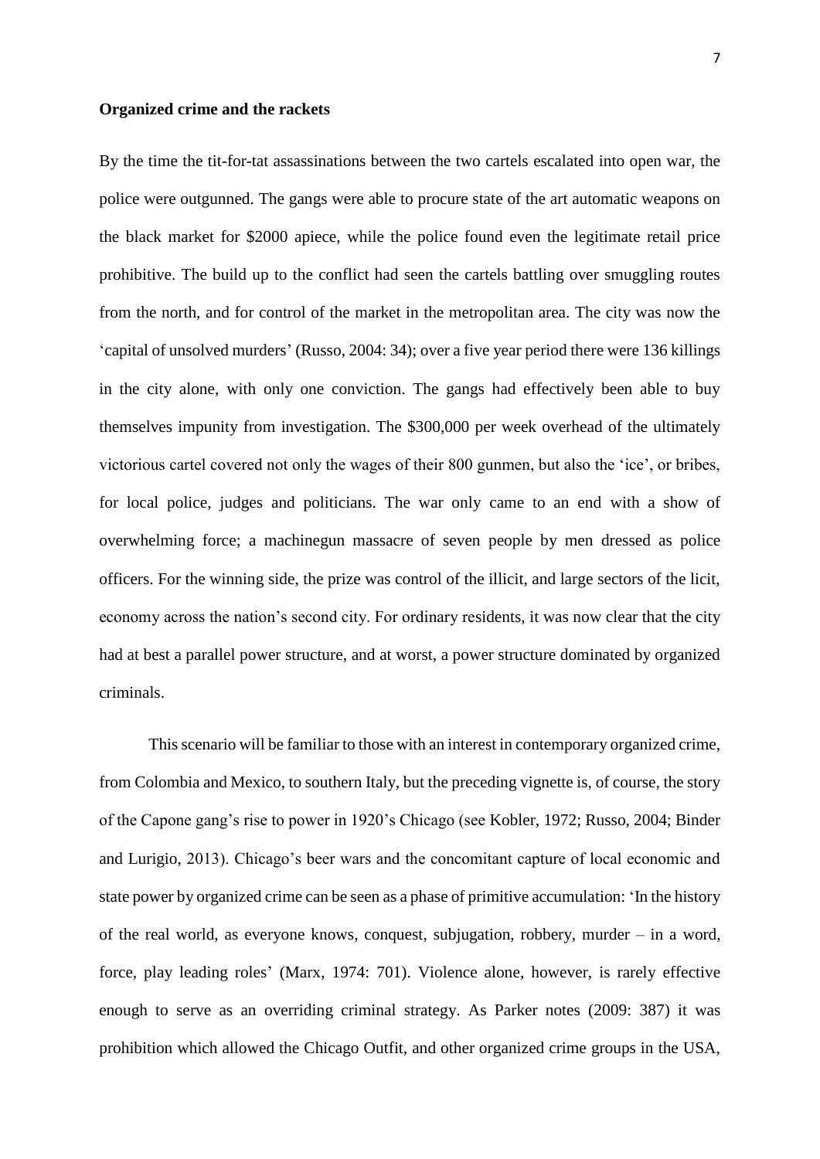#### **Organized crime and the rackets**

By the time the tit-for-tat assassinations between the two cartels escalated into open war, the police were outgunned. The gangs were able to procure state of the art automatic weapons on the black market for \$2000 apiece, while the police found even the legitimate retail price prohibitive. The build up to the conflict had seen the cartels battling over smuggling routes from the north, and for control of the market in the metropolitan area. The city was now the 'capital of unsolved murders' (Russo, 2004: 34); over a five year period there were 136 killings in the city alone, with only one conviction. The gangs had effectively been able to buy themselves impunity from investigation. The \$300,000 per week overhead of the ultimately victorious cartel covered not only the wages of their 800 gunmen, but also the 'ice', or bribes, for local police, judges and politicians. The war only came to an end with a show of overwhelming force; a machinegun massacre of seven people by men dressed as police officers. For the winning side, the prize was control of the illicit, and large sectors of the licit, economy across the nation's second city. For ordinary residents, it was now clear that the city had at best a parallel power structure, and at worst, a power structure dominated by organized criminals.

This scenario will be familiar to those with an interest in contemporary organized crime, from Colombia and Mexico, to southern Italy, but the preceding vignette is, of course, the story of the Capone gang's rise to power in 1920's Chicago (see Kobler, 1972; Russo, 2004; Binder and Lurigio, 2013). Chicago's beer wars and the concomitant capture of local economic and state power by organized crime can be seen as a phase of primitive accumulation: 'In the history of the real world, as everyone knows, conquest, subjugation, robbery, murder – in a word, force, play leading roles' (Marx, 1974: 701). Violence alone, however, is rarely effective enough to serve as an overriding criminal strategy. As Parker notes (2009: 387) it was prohibition which allowed the Chicago Outfit, and other organized crime groups in the USA,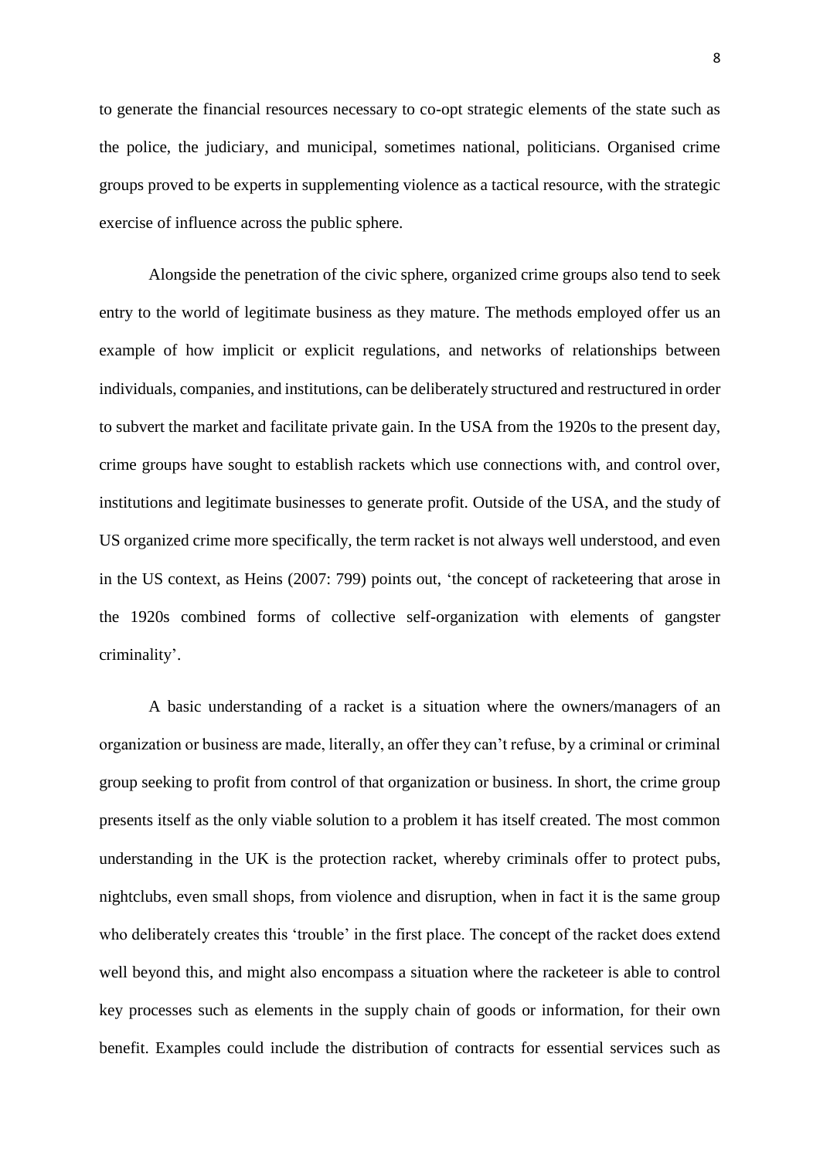to generate the financial resources necessary to co-opt strategic elements of the state such as the police, the judiciary, and municipal, sometimes national, politicians. Organised crime groups proved to be experts in supplementing violence as a tactical resource, with the strategic exercise of influence across the public sphere.

Alongside the penetration of the civic sphere, organized crime groups also tend to seek entry to the world of legitimate business as they mature. The methods employed offer us an example of how implicit or explicit regulations, and networks of relationships between individuals, companies, and institutions, can be deliberately structured and restructured in order to subvert the market and facilitate private gain. In the USA from the 1920s to the present day, crime groups have sought to establish rackets which use connections with, and control over, institutions and legitimate businesses to generate profit. Outside of the USA, and the study of US organized crime more specifically, the term racket is not always well understood, and even in the US context, as Heins (2007: 799) points out, 'the concept of racketeering that arose in the 1920s combined forms of collective self-organization with elements of gangster criminality'.

A basic understanding of a racket is a situation where the owners/managers of an organization or business are made, literally, an offer they can't refuse, by a criminal or criminal group seeking to profit from control of that organization or business. In short, the crime group presents itself as the only viable solution to a problem it has itself created. The most common understanding in the UK is the protection racket, whereby criminals offer to protect pubs, nightclubs, even small shops, from violence and disruption, when in fact it is the same group who deliberately creates this 'trouble' in the first place. The concept of the racket does extend well beyond this, and might also encompass a situation where the racketeer is able to control key processes such as elements in the supply chain of goods or information, for their own benefit. Examples could include the distribution of contracts for essential services such as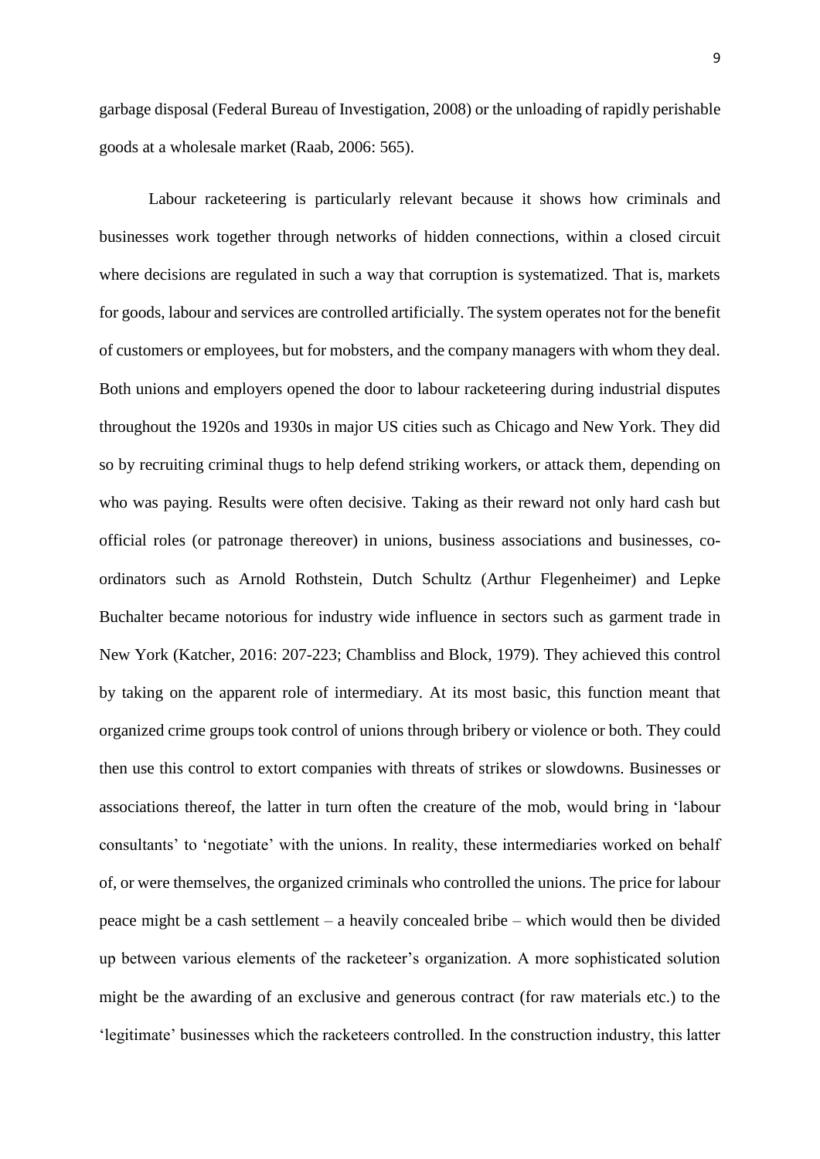garbage disposal (Federal Bureau of Investigation, 2008) or the unloading of rapidly perishable goods at a wholesale market (Raab, 2006: 565).

Labour racketeering is particularly relevant because it shows how criminals and businesses work together through networks of hidden connections, within a closed circuit where decisions are regulated in such a way that corruption is systematized. That is, markets for goods, labour and services are controlled artificially. The system operates not for the benefit of customers or employees, but for mobsters, and the company managers with whom they deal. Both unions and employers opened the door to labour racketeering during industrial disputes throughout the 1920s and 1930s in major US cities such as Chicago and New York. They did so by recruiting criminal thugs to help defend striking workers, or attack them, depending on who was paying. Results were often decisive. Taking as their reward not only hard cash but official roles (or patronage thereover) in unions, business associations and businesses, coordinators such as Arnold Rothstein, Dutch Schultz (Arthur Flegenheimer) and Lepke Buchalter became notorious for industry wide influence in sectors such as garment trade in New York (Katcher, 2016: 207-223; Chambliss and Block, 1979). They achieved this control by taking on the apparent role of intermediary. At its most basic, this function meant that organized crime groups took control of unions through bribery or violence or both. They could then use this control to extort companies with threats of strikes or slowdowns. Businesses or associations thereof, the latter in turn often the creature of the mob, would bring in 'labour consultants' to 'negotiate' with the unions. In reality, these intermediaries worked on behalf of, or were themselves, the organized criminals who controlled the unions. The price for labour peace might be a cash settlement – a heavily concealed bribe – which would then be divided up between various elements of the racketeer's organization. A more sophisticated solution might be the awarding of an exclusive and generous contract (for raw materials etc.) to the 'legitimate' businesses which the racketeers controlled. In the construction industry, this latter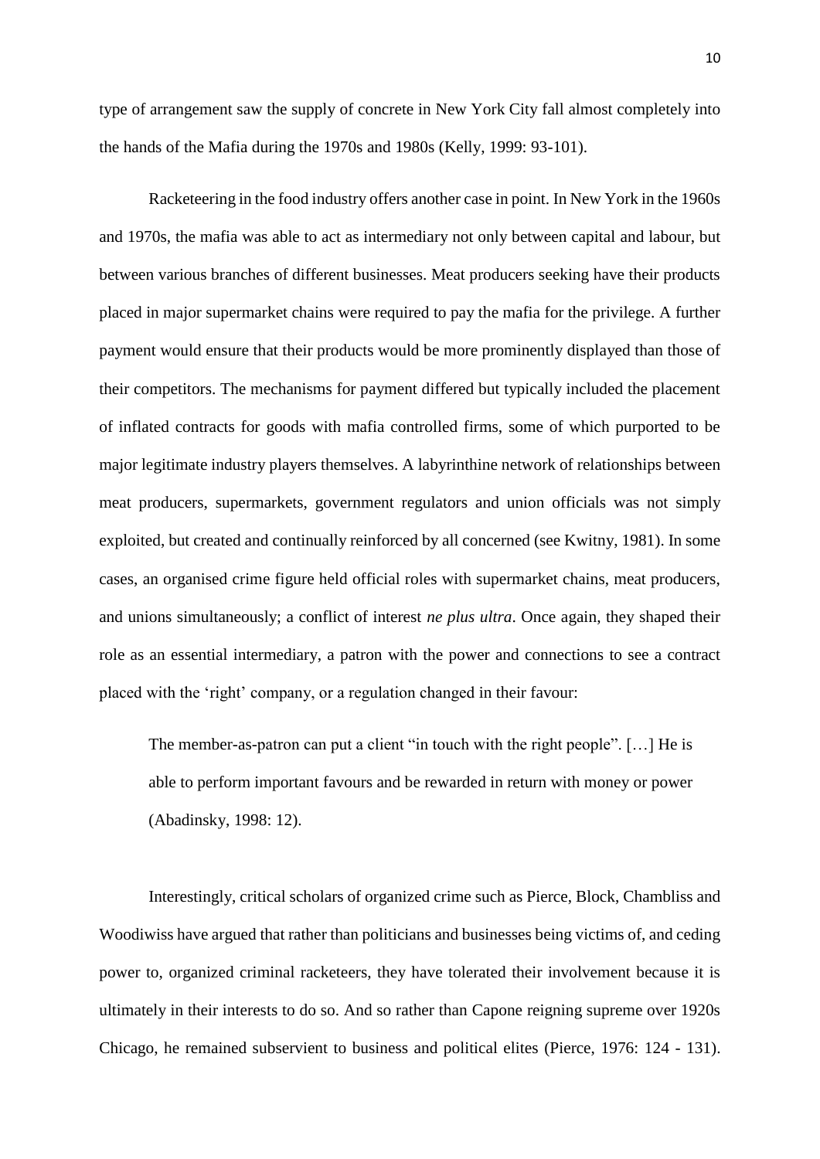type of arrangement saw the supply of concrete in New York City fall almost completely into the hands of the Mafia during the 1970s and 1980s (Kelly, 1999: 93-101).

Racketeering in the food industry offers another case in point. In New York in the 1960s and 1970s, the mafia was able to act as intermediary not only between capital and labour, but between various branches of different businesses. Meat producers seeking have their products placed in major supermarket chains were required to pay the mafia for the privilege. A further payment would ensure that their products would be more prominently displayed than those of their competitors. The mechanisms for payment differed but typically included the placement of inflated contracts for goods with mafia controlled firms, some of which purported to be major legitimate industry players themselves. A labyrinthine network of relationships between meat producers, supermarkets, government regulators and union officials was not simply exploited, but created and continually reinforced by all concerned (see Kwitny, 1981). In some cases, an organised crime figure held official roles with supermarket chains, meat producers, and unions simultaneously; a conflict of interest *ne plus ultra*. Once again, they shaped their role as an essential intermediary, a patron with the power and connections to see a contract placed with the 'right' company, or a regulation changed in their favour:

The member-as-patron can put a client "in touch with the right people". [...] He is able to perform important favours and be rewarded in return with money or power (Abadinsky, 1998: 12).

Interestingly, critical scholars of organized crime such as Pierce, Block, Chambliss and Woodiwiss have argued that rather than politicians and businesses being victims of, and ceding power to, organized criminal racketeers, they have tolerated their involvement because it is ultimately in their interests to do so. And so rather than Capone reigning supreme over 1920s Chicago, he remained subservient to business and political elites (Pierce, 1976: 124 - 131).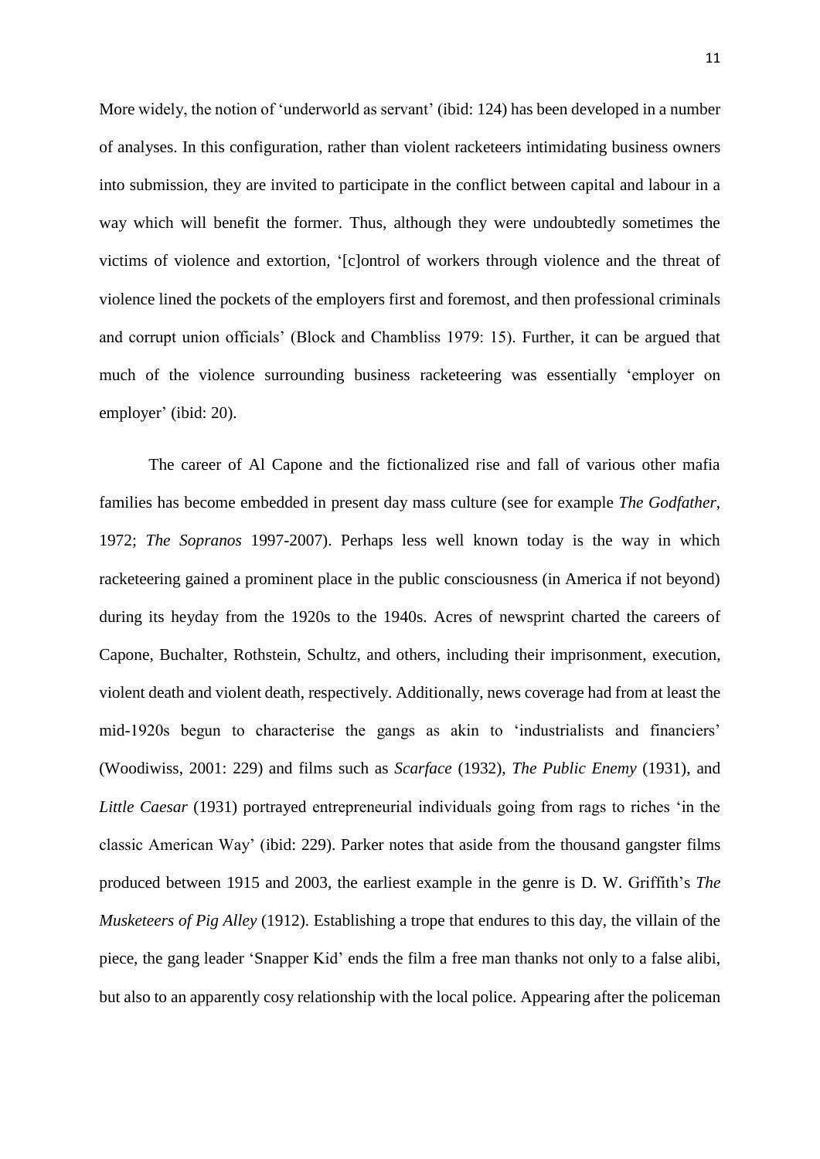More widely, the notion of 'underworld as servant' (ibid: 124) has been developed in a number of analyses. In this configuration, rather than violent racketeers intimidating business owners into submission, they are invited to participate in the conflict between capital and labour in a way which will benefit the former. Thus, although they were undoubtedly sometimes the victims of violence and extortion, '[c]ontrol of workers through violence and the threat of violence lined the pockets of the employers first and foremost, and then professional criminals and corrupt union officials' (Block and Chambliss 1979: 15). Further, it can be argued that much of the violence surrounding business racketeering was essentially 'employer on employer' (ibid: 20).

The career of Al Capone and the fictionalized rise and fall of various other mafia families has become embedded in present day mass culture (see for example *The Godfather*, 1972; *The Sopranos* 1997-2007). Perhaps less well known today is the way in which racketeering gained a prominent place in the public consciousness (in America if not beyond) during its heyday from the 1920s to the 1940s. Acres of newsprint charted the careers of Capone, Buchalter, Rothstein, Schultz, and others, including their imprisonment, execution, violent death and violent death, respectively. Additionally, news coverage had from at least the mid-1920s begun to characterise the gangs as akin to 'industrialists and financiers' (Woodiwiss, 2001: 229) and films such as *Scarface* (1932), *The Public Enemy* (1931), and *Little Caesar* (1931) portrayed entrepreneurial individuals going from rags to riches 'in the classic American Way' (ibid: 229). Parker notes that aside from the thousand gangster films produced between 1915 and 2003, the earliest example in the genre is D. W. Griffith's *The Musketeers of Pig Alley* (1912). Establishing a trope that endures to this day, the villain of the piece, the gang leader 'Snapper Kid' ends the film a free man thanks not only to a false alibi, but also to an apparently cosy relationship with the local police. Appearing after the policeman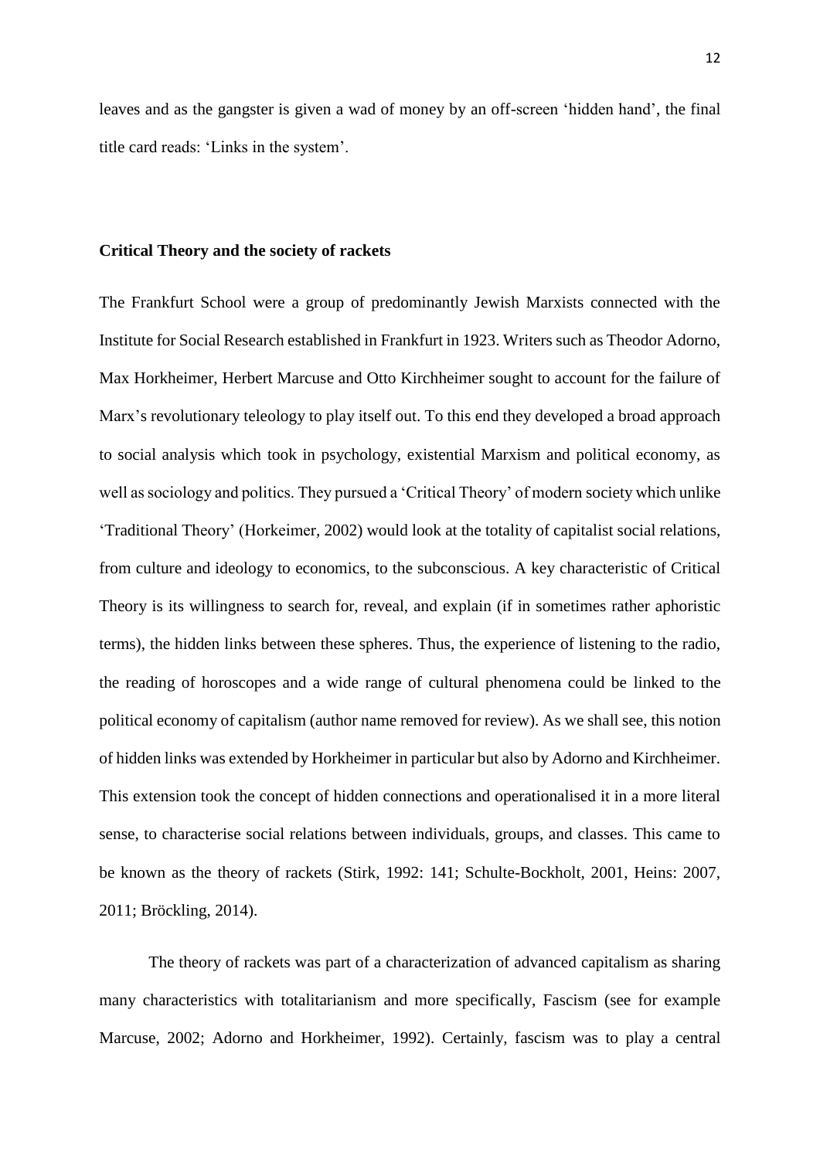leaves and as the gangster is given a wad of money by an off-screen 'hidden hand', the final title card reads: 'Links in the system'.

#### **Critical Theory and the society of rackets**

The Frankfurt School were a group of predominantly Jewish Marxists connected with the Institute for Social Research established in Frankfurt in 1923. Writers such as Theodor Adorno, Max Horkheimer, Herbert Marcuse and Otto Kirchheimer sought to account for the failure of Marx's revolutionary teleology to play itself out. To this end they developed a broad approach to social analysis which took in psychology, existential Marxism and political economy, as well as sociology and politics. They pursued a 'Critical Theory' of modern society which unlike 'Traditional Theory' (Horkeimer, 2002) would look at the totality of capitalist social relations, from culture and ideology to economics, to the subconscious. A key characteristic of Critical Theory is its willingness to search for, reveal, and explain (if in sometimes rather aphoristic terms), the hidden links between these spheres. Thus, the experience of listening to the radio, the reading of horoscopes and a wide range of cultural phenomena could be linked to the political economy of capitalism (author name removed for review). As we shall see, this notion of hidden links was extended by Horkheimer in particular but also by Adorno and Kirchheimer. This extension took the concept of hidden connections and operationalised it in a more literal sense, to characterise social relations between individuals, groups, and classes. This came to be known as the theory of rackets (Stirk, 1992: 141; Schulte-Bockholt, 2001, Heins: 2007, 2011; Bröckling, 2014).

The theory of rackets was part of a characterization of advanced capitalism as sharing many characteristics with totalitarianism and more specifically, Fascism (see for example Marcuse, 2002; Adorno and Horkheimer, 1992). Certainly, fascism was to play a central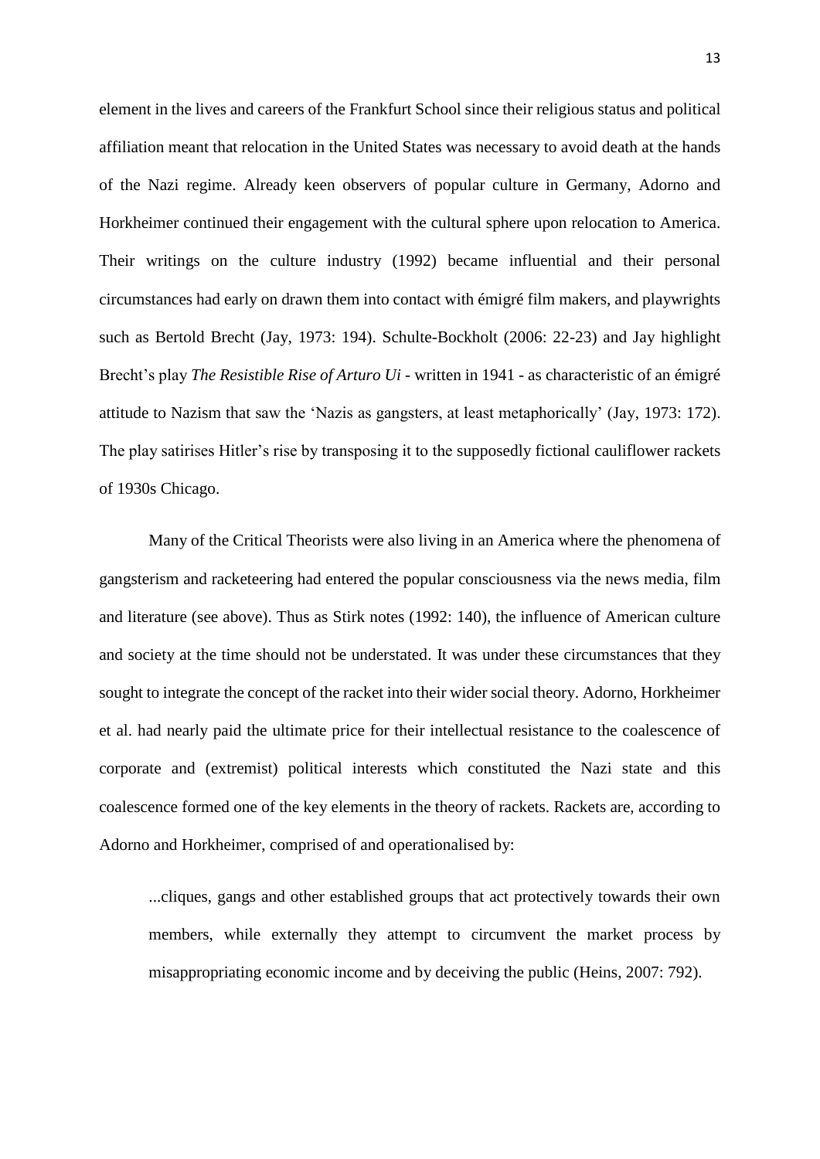element in the lives and careers of the Frankfurt School since their religious status and political affiliation meant that relocation in the United States was necessary to avoid death at the hands of the Nazi regime. Already keen observers of popular culture in Germany, Adorno and Horkheimer continued their engagement with the cultural sphere upon relocation to America. Their writings on the culture industry (1992) became influential and their personal circumstances had early on drawn them into contact with émigré film makers, and playwrights such as Bertold Brecht (Jay, 1973: 194). Schulte-Bockholt (2006: 22-23) and Jay highlight Brecht's play *The Resistible Rise of Arturo Ui* - written in 1941 - as characteristic of an émigré attitude to Nazism that saw the 'Nazis as gangsters, at least metaphorically' (Jay, 1973: 172). The play satirises Hitler's rise by transposing it to the supposedly fictional cauliflower rackets of 1930s Chicago.

Many of the Critical Theorists were also living in an America where the phenomena of gangsterism and racketeering had entered the popular consciousness via the news media, film and literature (see above). Thus as Stirk notes (1992: 140), the influence of American culture and society at the time should not be understated. It was under these circumstances that they sought to integrate the concept of the racket into their wider social theory. Adorno, Horkheimer et al. had nearly paid the ultimate price for their intellectual resistance to the coalescence of corporate and (extremist) political interests which constituted the Nazi state and this coalescence formed one of the key elements in the theory of rackets. Rackets are, according to Adorno and Horkheimer, comprised of and operationalised by:

...cliques, gangs and other established groups that act protectively towards their own members, while externally they attempt to circumvent the market process by misappropriating economic income and by deceiving the public (Heins, 2007: 792).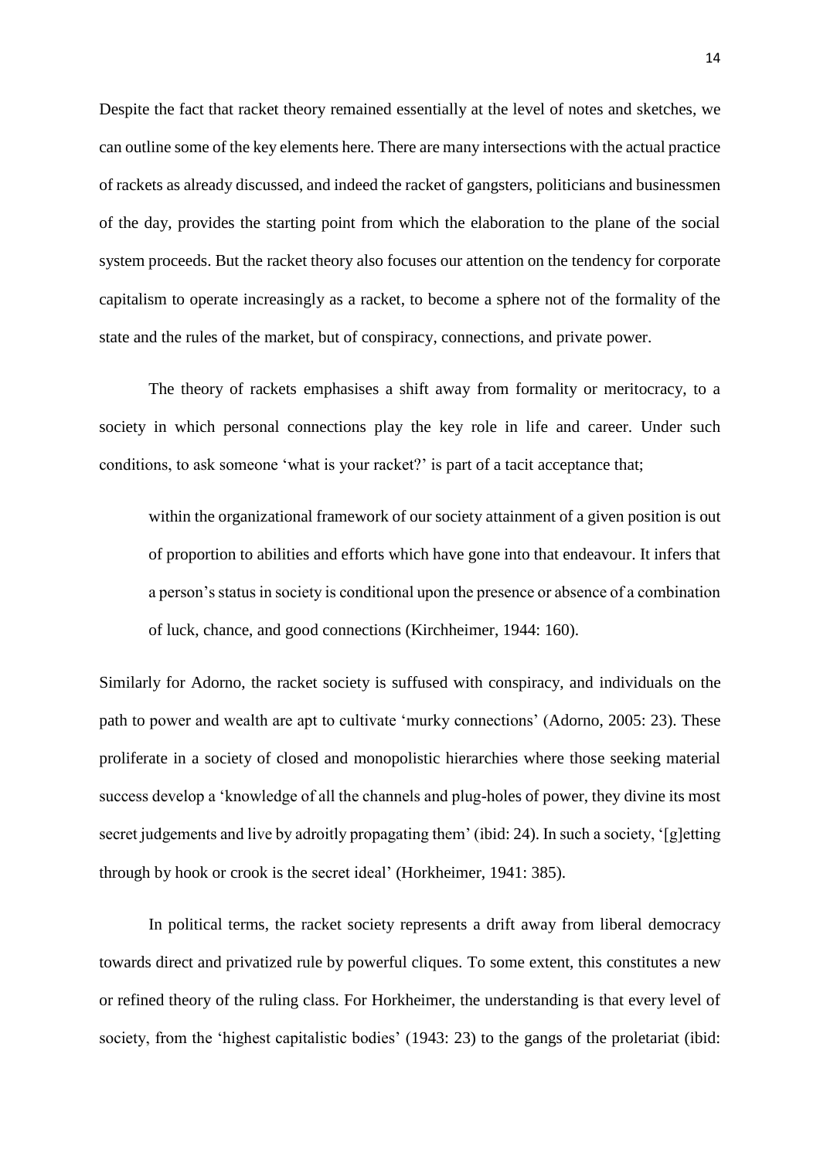Despite the fact that racket theory remained essentially at the level of notes and sketches, we can outline some of the key elements here. There are many intersections with the actual practice of rackets as already discussed, and indeed the racket of gangsters, politicians and businessmen of the day, provides the starting point from which the elaboration to the plane of the social system proceeds. But the racket theory also focuses our attention on the tendency for corporate capitalism to operate increasingly as a racket, to become a sphere not of the formality of the state and the rules of the market, but of conspiracy, connections, and private power.

The theory of rackets emphasises a shift away from formality or meritocracy, to a society in which personal connections play the key role in life and career. Under such conditions, to ask someone 'what is your racket?' is part of a tacit acceptance that;

within the organizational framework of our society attainment of a given position is out of proportion to abilities and efforts which have gone into that endeavour. It infers that a person's status in society is conditional upon the presence or absence of a combination of luck, chance, and good connections (Kirchheimer, 1944: 160).

Similarly for Adorno, the racket society is suffused with conspiracy, and individuals on the path to power and wealth are apt to cultivate 'murky connections' (Adorno, 2005: 23). These proliferate in a society of closed and monopolistic hierarchies where those seeking material success develop a 'knowledge of all the channels and plug-holes of power, they divine its most secret judgements and live by adroitly propagating them' (ibid: 24). In such a society, '[g]etting through by hook or crook is the secret ideal' (Horkheimer, 1941: 385).

In political terms, the racket society represents a drift away from liberal democracy towards direct and privatized rule by powerful cliques. To some extent, this constitutes a new or refined theory of the ruling class. For Horkheimer, the understanding is that every level of society, from the 'highest capitalistic bodies' (1943: 23) to the gangs of the proletariat (ibid: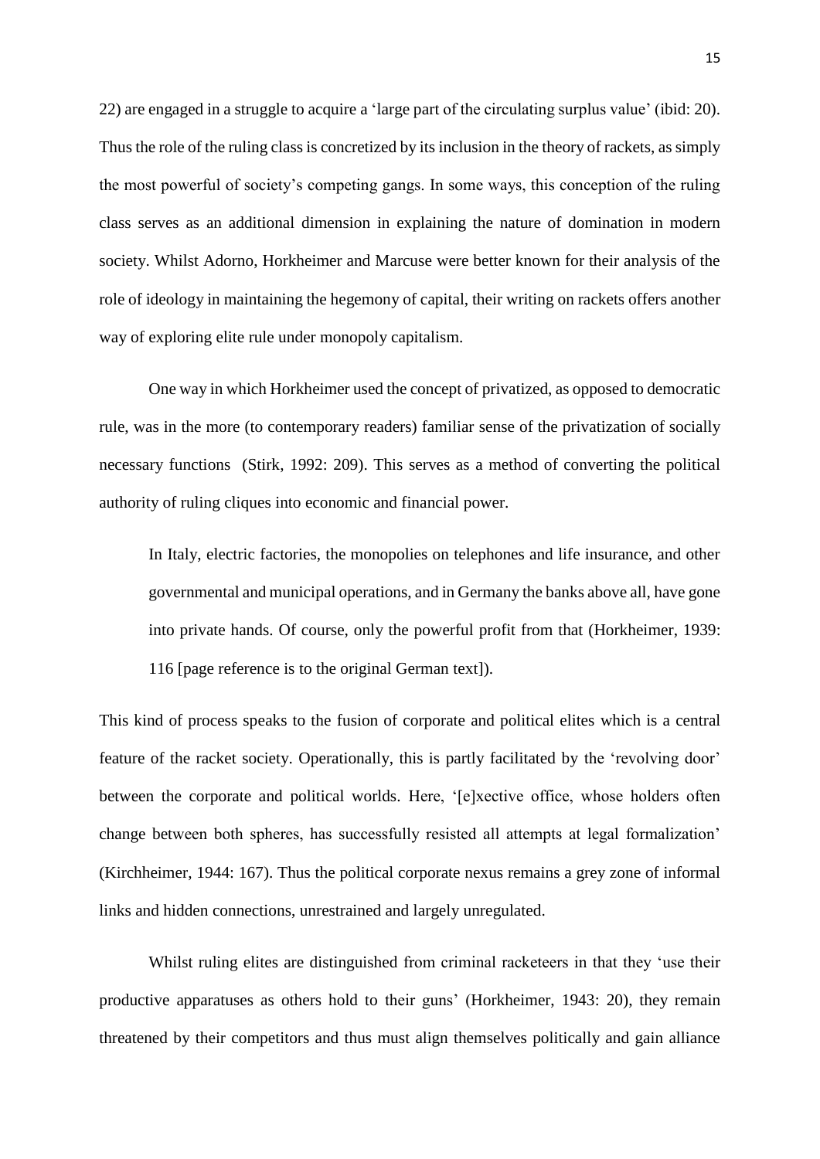22) are engaged in a struggle to acquire a 'large part of the circulating surplus value' (ibid: 20). Thus the role of the ruling class is concretized by its inclusion in the theory of rackets, as simply the most powerful of society's competing gangs. In some ways, this conception of the ruling class serves as an additional dimension in explaining the nature of domination in modern society. Whilst Adorno, Horkheimer and Marcuse were better known for their analysis of the role of ideology in maintaining the hegemony of capital, their writing on rackets offers another way of exploring elite rule under monopoly capitalism.

One way in which Horkheimer used the concept of privatized, as opposed to democratic rule, was in the more (to contemporary readers) familiar sense of the privatization of socially necessary functions (Stirk, 1992: 209). This serves as a method of converting the political authority of ruling cliques into economic and financial power.

In Italy, electric factories, the monopolies on telephones and life insurance, and other governmental and municipal operations, and in Germany the banks above all, have gone into private hands. Of course, only the powerful profit from that (Horkheimer, 1939: 116 [page reference is to the original German text]).

This kind of process speaks to the fusion of corporate and political elites which is a central feature of the racket society. Operationally, this is partly facilitated by the 'revolving door' between the corporate and political worlds. Here, '[e]xective office, whose holders often change between both spheres, has successfully resisted all attempts at legal formalization' (Kirchheimer, 1944: 167). Thus the political corporate nexus remains a grey zone of informal links and hidden connections, unrestrained and largely unregulated.

Whilst ruling elites are distinguished from criminal racketeers in that they 'use their productive apparatuses as others hold to their guns' (Horkheimer, 1943: 20), they remain threatened by their competitors and thus must align themselves politically and gain alliance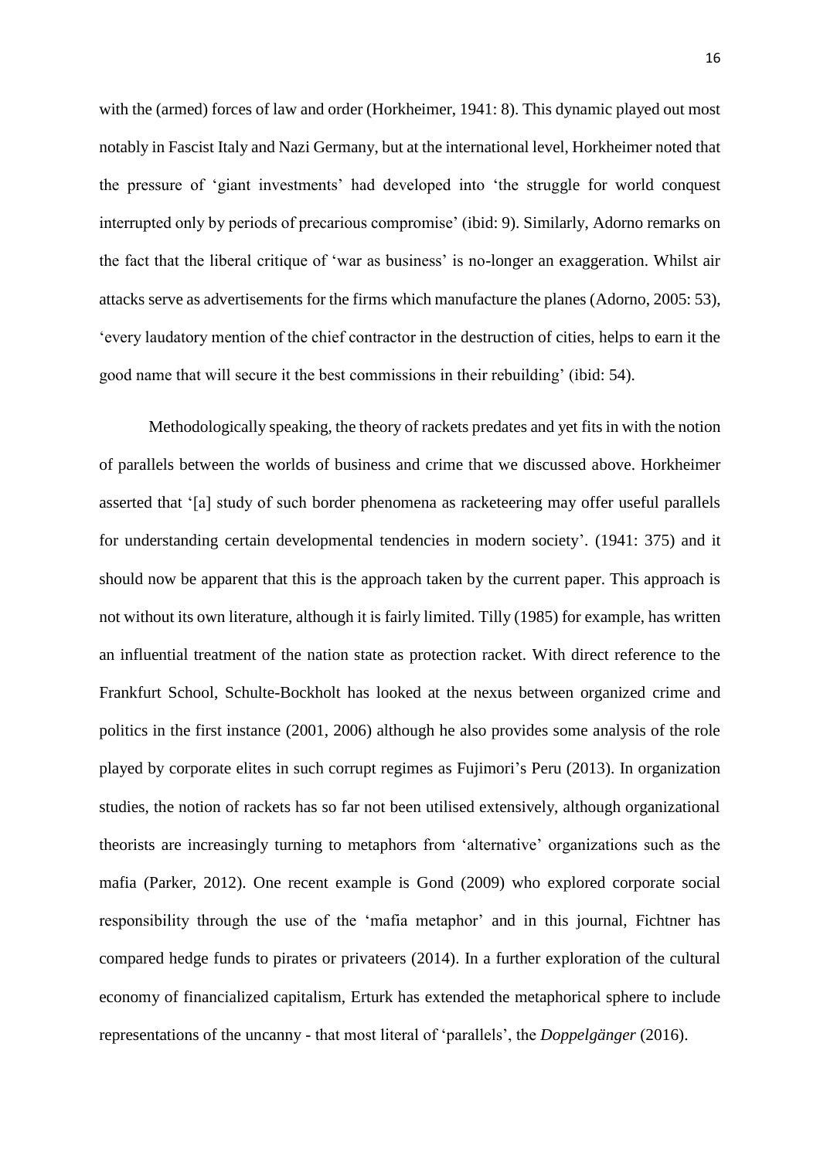with the (armed) forces of law and order (Horkheimer, 1941: 8). This dynamic played out most notably in Fascist Italy and Nazi Germany, but at the international level, Horkheimer noted that the pressure of 'giant investments' had developed into 'the struggle for world conquest interrupted only by periods of precarious compromise' (ibid: 9). Similarly, Adorno remarks on the fact that the liberal critique of 'war as business' is no-longer an exaggeration. Whilst air attacks serve as advertisements for the firms which manufacture the planes (Adorno, 2005: 53), 'every laudatory mention of the chief contractor in the destruction of cities, helps to earn it the good name that will secure it the best commissions in their rebuilding' (ibid: 54).

Methodologically speaking, the theory of rackets predates and yet fits in with the notion of parallels between the worlds of business and crime that we discussed above. Horkheimer asserted that '[a] study of such border phenomena as racketeering may offer useful parallels for understanding certain developmental tendencies in modern society'. (1941: 375) and it should now be apparent that this is the approach taken by the current paper. This approach is not without its own literature, although it is fairly limited. Tilly (1985) for example, has written an influential treatment of the nation state as protection racket. With direct reference to the Frankfurt School, Schulte-Bockholt has looked at the nexus between organized crime and politics in the first instance (2001, 2006) although he also provides some analysis of the role played by corporate elites in such corrupt regimes as Fujimori's Peru (2013). In organization studies, the notion of rackets has so far not been utilised extensively, although organizational theorists are increasingly turning to metaphors from 'alternative' organizations such as the mafia (Parker, 2012). One recent example is Gond (2009) who explored corporate social responsibility through the use of the 'mafia metaphor' and in this journal, Fichtner has compared hedge funds to pirates or privateers (2014). In a further exploration of the cultural economy of financialized capitalism, Erturk has extended the metaphorical sphere to include representations of the uncanny - that most literal of 'parallels', the *Doppelgänger* (2016).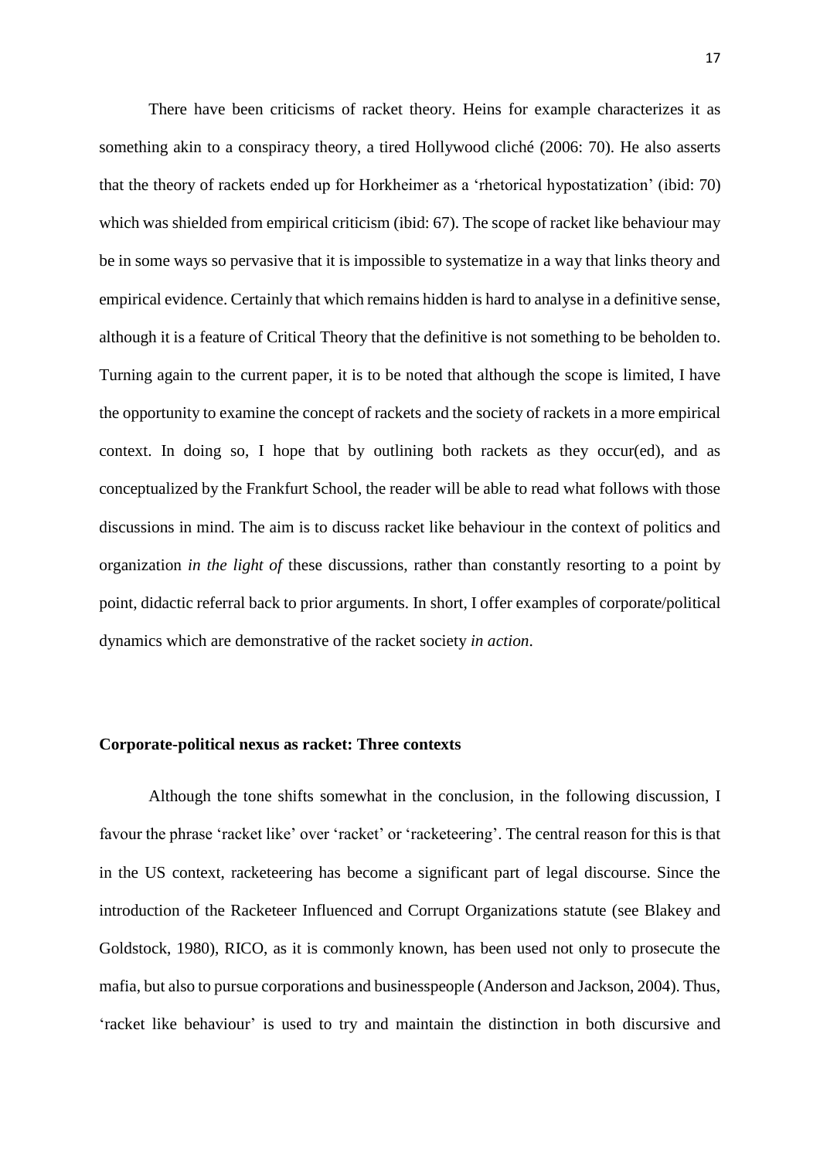There have been criticisms of racket theory. Heins for example characterizes it as something akin to a conspiracy theory, a tired Hollywood cliché (2006: 70). He also asserts that the theory of rackets ended up for Horkheimer as a 'rhetorical hypostatization' (ibid: 70) which was shielded from empirical criticism (ibid: 67). The scope of racket like behaviour may be in some ways so pervasive that it is impossible to systematize in a way that links theory and empirical evidence. Certainly that which remains hidden is hard to analyse in a definitive sense, although it is a feature of Critical Theory that the definitive is not something to be beholden to. Turning again to the current paper, it is to be noted that although the scope is limited, I have the opportunity to examine the concept of rackets and the society of rackets in a more empirical context. In doing so, I hope that by outlining both rackets as they occur(ed), and as conceptualized by the Frankfurt School, the reader will be able to read what follows with those discussions in mind. The aim is to discuss racket like behaviour in the context of politics and organization *in the light of* these discussions, rather than constantly resorting to a point by point, didactic referral back to prior arguments. In short, I offer examples of corporate/political dynamics which are demonstrative of the racket society *in action*.

#### **Corporate-political nexus as racket: Three contexts**

Although the tone shifts somewhat in the conclusion, in the following discussion, I favour the phrase 'racket like' over 'racket' or 'racketeering'. The central reason for this is that in the US context, racketeering has become a significant part of legal discourse. Since the introduction of the Racketeer Influenced and Corrupt Organizations statute (see Blakey and Goldstock, 1980), RICO, as it is commonly known, has been used not only to prosecute the mafia, but also to pursue corporations and businesspeople (Anderson and Jackson, 2004). Thus, 'racket like behaviour' is used to try and maintain the distinction in both discursive and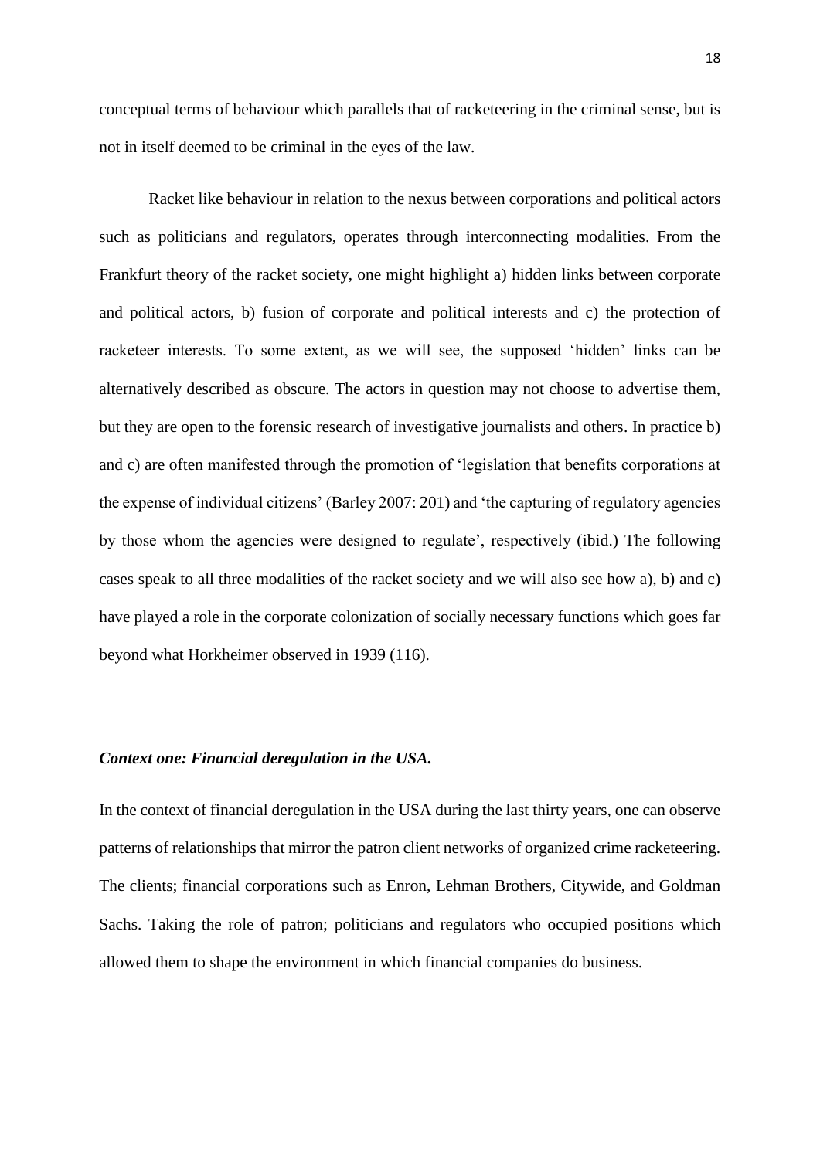conceptual terms of behaviour which parallels that of racketeering in the criminal sense, but is not in itself deemed to be criminal in the eyes of the law.

Racket like behaviour in relation to the nexus between corporations and political actors such as politicians and regulators, operates through interconnecting modalities. From the Frankfurt theory of the racket society, one might highlight a) hidden links between corporate and political actors, b) fusion of corporate and political interests and c) the protection of racketeer interests. To some extent, as we will see, the supposed 'hidden' links can be alternatively described as obscure. The actors in question may not choose to advertise them, but they are open to the forensic research of investigative journalists and others. In practice b) and c) are often manifested through the promotion of 'legislation that benefits corporations at the expense of individual citizens' (Barley 2007: 201) and 'the capturing of regulatory agencies by those whom the agencies were designed to regulate', respectively (ibid.) The following cases speak to all three modalities of the racket society and we will also see how a), b) and c) have played a role in the corporate colonization of socially necessary functions which goes far beyond what Horkheimer observed in 1939 (116).

#### *Context one: Financial deregulation in the USA.*

In the context of financial deregulation in the USA during the last thirty years, one can observe patterns of relationships that mirror the patron client networks of organized crime racketeering. The clients; financial corporations such as Enron, Lehman Brothers, Citywide, and Goldman Sachs. Taking the role of patron; politicians and regulators who occupied positions which allowed them to shape the environment in which financial companies do business.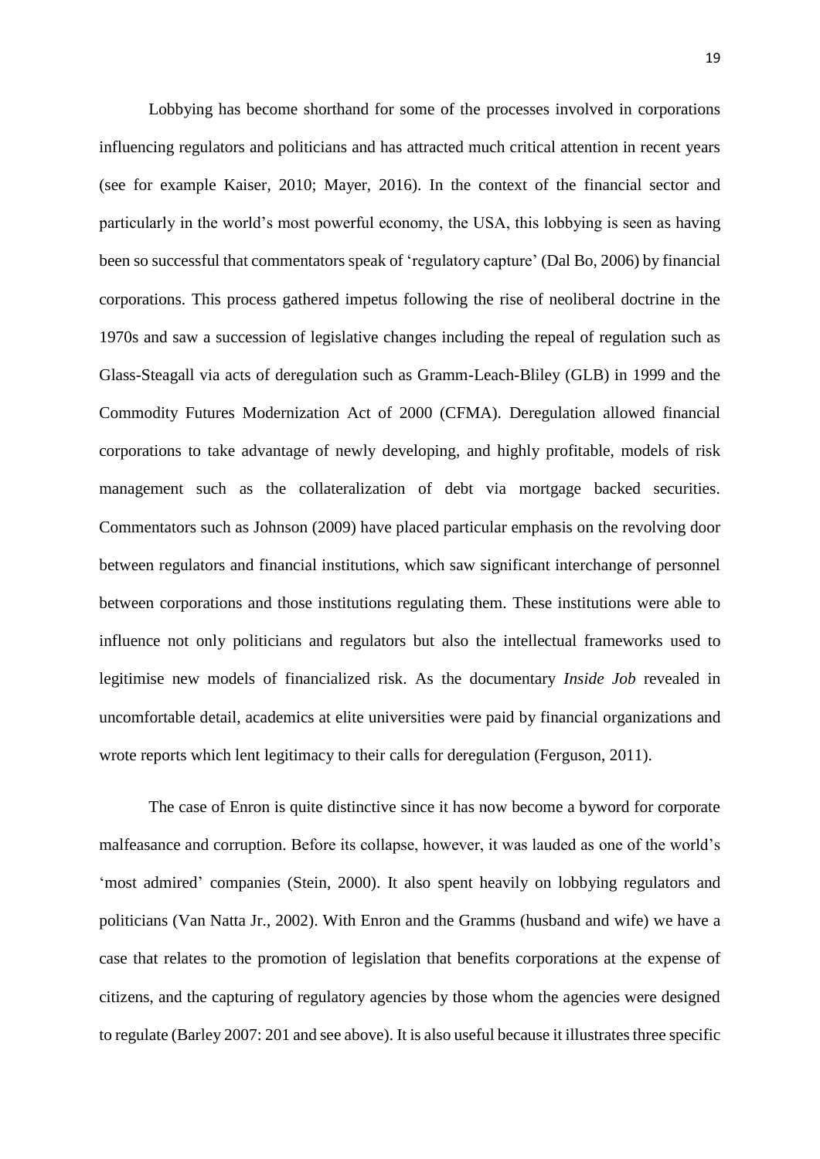Lobbying has become shorthand for some of the processes involved in corporations influencing regulators and politicians and has attracted much critical attention in recent years (see for example Kaiser, 2010; Mayer, 2016). In the context of the financial sector and particularly in the world's most powerful economy, the USA, this lobbying is seen as having been so successful that commentators speak of 'regulatory capture' (Dal Bo, 2006) by financial corporations. This process gathered impetus following the rise of neoliberal doctrine in the 1970s and saw a succession of legislative changes including the repeal of regulation such as Glass-Steagall via acts of deregulation such as Gramm-Leach-Bliley (GLB) in 1999 and the Commodity Futures Modernization Act of 2000 (CFMA). Deregulation allowed financial corporations to take advantage of newly developing, and highly profitable, models of risk management such as the collateralization of debt via mortgage backed securities. Commentators such as Johnson (2009) have placed particular emphasis on the revolving door between regulators and financial institutions, which saw significant interchange of personnel between corporations and those institutions regulating them. These institutions were able to influence not only politicians and regulators but also the intellectual frameworks used to legitimise new models of financialized risk. As the documentary *Inside Job* revealed in uncomfortable detail, academics at elite universities were paid by financial organizations and wrote reports which lent legitimacy to their calls for deregulation (Ferguson, 2011).

The case of Enron is quite distinctive since it has now become a byword for corporate malfeasance and corruption. Before its collapse, however, it was lauded as one of the world's 'most admired' companies (Stein, 2000). It also spent heavily on lobbying regulators and politicians (Van Natta Jr., 2002). With Enron and the Gramms (husband and wife) we have a case that relates to the promotion of legislation that benefits corporations at the expense of citizens, and the capturing of regulatory agencies by those whom the agencies were designed to regulate (Barley 2007: 201 and see above). It is also useful because it illustrates three specific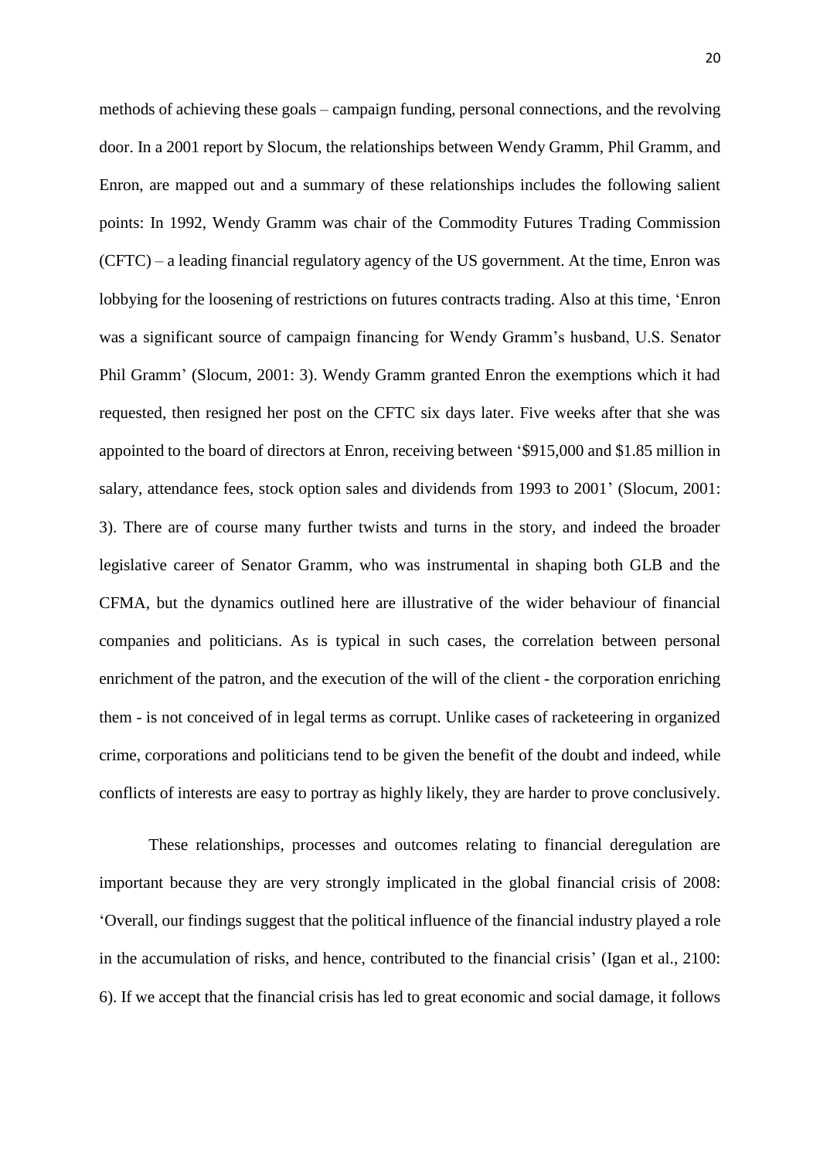methods of achieving these goals – campaign funding, personal connections, and the revolving door. In a 2001 report by Slocum, the relationships between Wendy Gramm, Phil Gramm, and Enron, are mapped out and a summary of these relationships includes the following salient points: In 1992, Wendy Gramm was chair of the Commodity Futures Trading Commission (CFTC) – a leading financial regulatory agency of the US government. At the time, Enron was lobbying for the loosening of restrictions on futures contracts trading. Also at this time, 'Enron was a significant source of campaign financing for Wendy Gramm's husband, U.S. Senator Phil Gramm' (Slocum, 2001: 3). Wendy Gramm granted Enron the exemptions which it had requested, then resigned her post on the CFTC six days later. Five weeks after that she was appointed to the board of directors at Enron, receiving between '\$915,000 and \$1.85 million in salary, attendance fees, stock option sales and dividends from 1993 to 2001' (Slocum, 2001: 3). There are of course many further twists and turns in the story, and indeed the broader legislative career of Senator Gramm, who was instrumental in shaping both GLB and the CFMA, but the dynamics outlined here are illustrative of the wider behaviour of financial companies and politicians. As is typical in such cases, the correlation between personal enrichment of the patron, and the execution of the will of the client - the corporation enriching them - is not conceived of in legal terms as corrupt. Unlike cases of racketeering in organized crime, corporations and politicians tend to be given the benefit of the doubt and indeed, while conflicts of interests are easy to portray as highly likely, they are harder to prove conclusively.

These relationships, processes and outcomes relating to financial deregulation are important because they are very strongly implicated in the global financial crisis of 2008: 'Overall, our findings suggest that the political influence of the financial industry played a role in the accumulation of risks, and hence, contributed to the financial crisis' (Igan et al., 2100: 6). If we accept that the financial crisis has led to great economic and social damage, it follows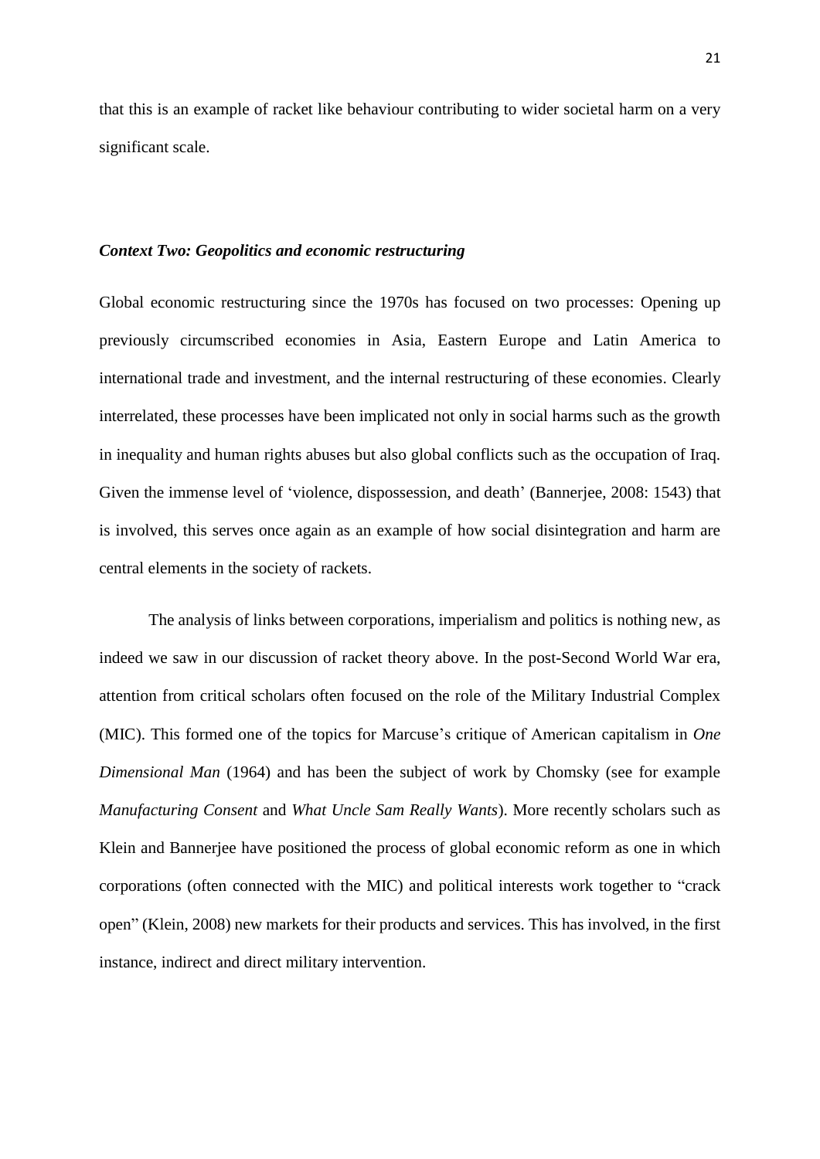that this is an example of racket like behaviour contributing to wider societal harm on a very significant scale.

#### *Context Two: Geopolitics and economic restructuring*

Global economic restructuring since the 1970s has focused on two processes: Opening up previously circumscribed economies in Asia, Eastern Europe and Latin America to international trade and investment, and the internal restructuring of these economies. Clearly interrelated, these processes have been implicated not only in social harms such as the growth in inequality and human rights abuses but also global conflicts such as the occupation of Iraq. Given the immense level of 'violence, dispossession, and death' (Bannerjee, 2008: 1543) that is involved, this serves once again as an example of how social disintegration and harm are central elements in the society of rackets.

The analysis of links between corporations, imperialism and politics is nothing new, as indeed we saw in our discussion of racket theory above. In the post-Second World War era, attention from critical scholars often focused on the role of the Military Industrial Complex (MIC). This formed one of the topics for Marcuse's critique of American capitalism in *One Dimensional Man* (1964) and has been the subject of work by Chomsky (see for example *Manufacturing Consent* and *What Uncle Sam Really Wants*). More recently scholars such as Klein and Bannerjee have positioned the process of global economic reform as one in which corporations (often connected with the MIC) and political interests work together to "crack open" (Klein, 2008) new markets for their products and services. This has involved, in the first instance, indirect and direct military intervention.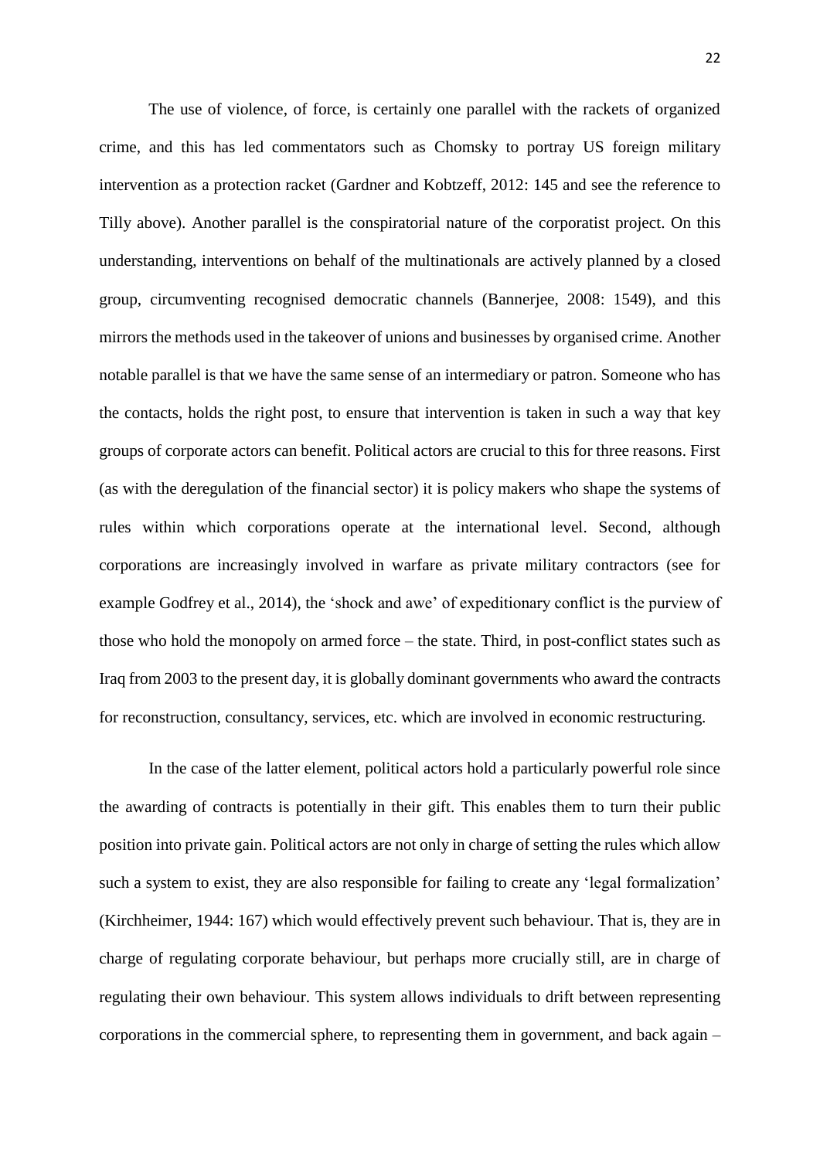The use of violence, of force, is certainly one parallel with the rackets of organized crime, and this has led commentators such as Chomsky to portray US foreign military intervention as a protection racket (Gardner and Kobtzeff, 2012: 145 and see the reference to Tilly above). Another parallel is the conspiratorial nature of the corporatist project. On this understanding, interventions on behalf of the multinationals are actively planned by a closed group, circumventing recognised democratic channels (Bannerjee, 2008: 1549), and this mirrors the methods used in the takeover of unions and businesses by organised crime. Another notable parallel is that we have the same sense of an intermediary or patron. Someone who has the contacts, holds the right post, to ensure that intervention is taken in such a way that key groups of corporate actors can benefit. Political actors are crucial to this for three reasons. First (as with the deregulation of the financial sector) it is policy makers who shape the systems of rules within which corporations operate at the international level. Second, although corporations are increasingly involved in warfare as private military contractors (see for example Godfrey et al., 2014), the 'shock and awe' of expeditionary conflict is the purview of those who hold the monopoly on armed force – the state. Third, in post-conflict states such as Iraq from 2003 to the present day, it is globally dominant governments who award the contracts for reconstruction, consultancy, services, etc. which are involved in economic restructuring.

In the case of the latter element, political actors hold a particularly powerful role since the awarding of contracts is potentially in their gift. This enables them to turn their public position into private gain. Political actors are not only in charge of setting the rules which allow such a system to exist, they are also responsible for failing to create any 'legal formalization' (Kirchheimer, 1944: 167) which would effectively prevent such behaviour. That is, they are in charge of regulating corporate behaviour, but perhaps more crucially still, are in charge of regulating their own behaviour. This system allows individuals to drift between representing corporations in the commercial sphere, to representing them in government, and back again –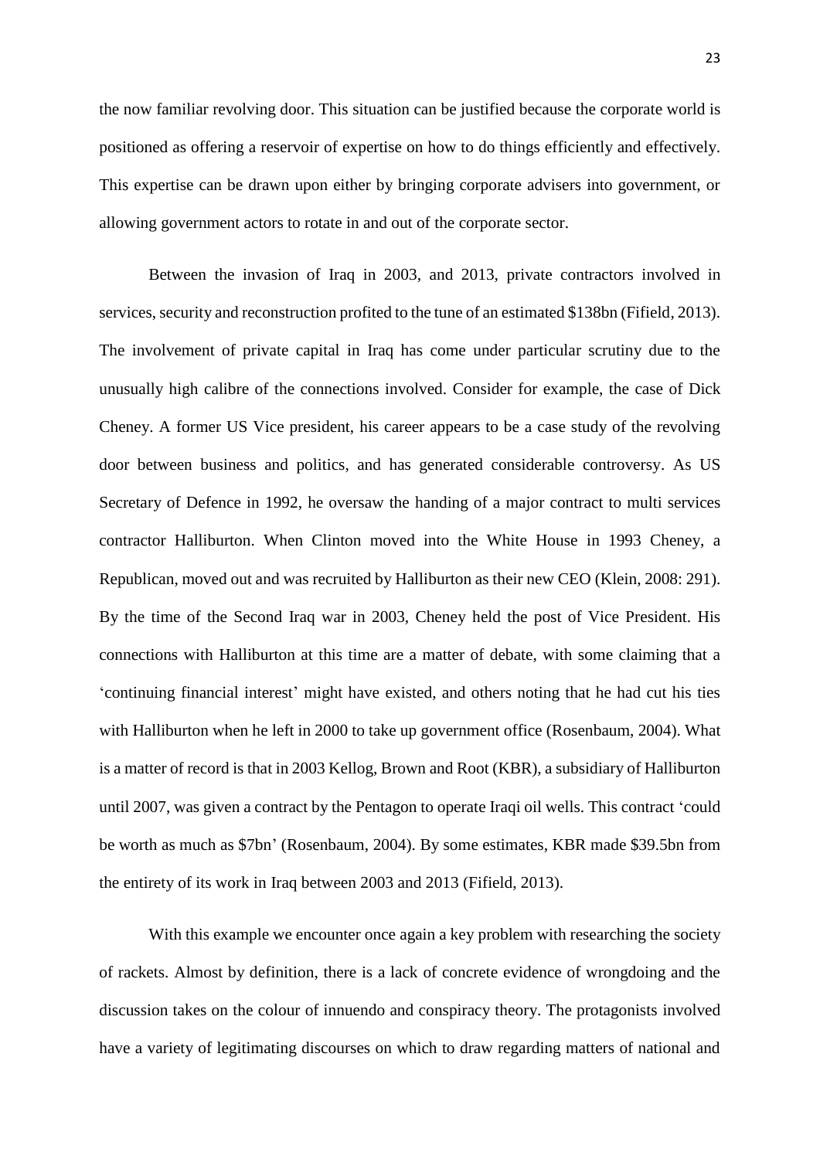the now familiar revolving door. This situation can be justified because the corporate world is positioned as offering a reservoir of expertise on how to do things efficiently and effectively. This expertise can be drawn upon either by bringing corporate advisers into government, or allowing government actors to rotate in and out of the corporate sector.

Between the invasion of Iraq in 2003, and 2013, private contractors involved in services, security and reconstruction profited to the tune of an estimated \$138bn (Fifield, 2013). The involvement of private capital in Iraq has come under particular scrutiny due to the unusually high calibre of the connections involved. Consider for example, the case of Dick Cheney. A former US Vice president, his career appears to be a case study of the revolving door between business and politics, and has generated considerable controversy. As US Secretary of Defence in 1992, he oversaw the handing of a major contract to multi services contractor Halliburton. When Clinton moved into the White House in 1993 Cheney, a Republican, moved out and was recruited by Halliburton as their new CEO (Klein, 2008: 291). By the time of the Second Iraq war in 2003, Cheney held the post of Vice President. His connections with Halliburton at this time are a matter of debate, with some claiming that a 'continuing financial interest' might have existed, and others noting that he had cut his ties with Halliburton when he left in 2000 to take up government office (Rosenbaum, 2004). What is a matter of record is that in 2003 Kellog, Brown and Root (KBR), a subsidiary of Halliburton until 2007, was given a contract by the Pentagon to operate Iraqi oil wells. This contract 'could be worth as much as \$7bn' (Rosenbaum, 2004). By some estimates, KBR made \$39.5bn from the entirety of its work in Iraq between 2003 and 2013 (Fifield, 2013).

With this example we encounter once again a key problem with researching the society of rackets. Almost by definition, there is a lack of concrete evidence of wrongdoing and the discussion takes on the colour of innuendo and conspiracy theory. The protagonists involved have a variety of legitimating discourses on which to draw regarding matters of national and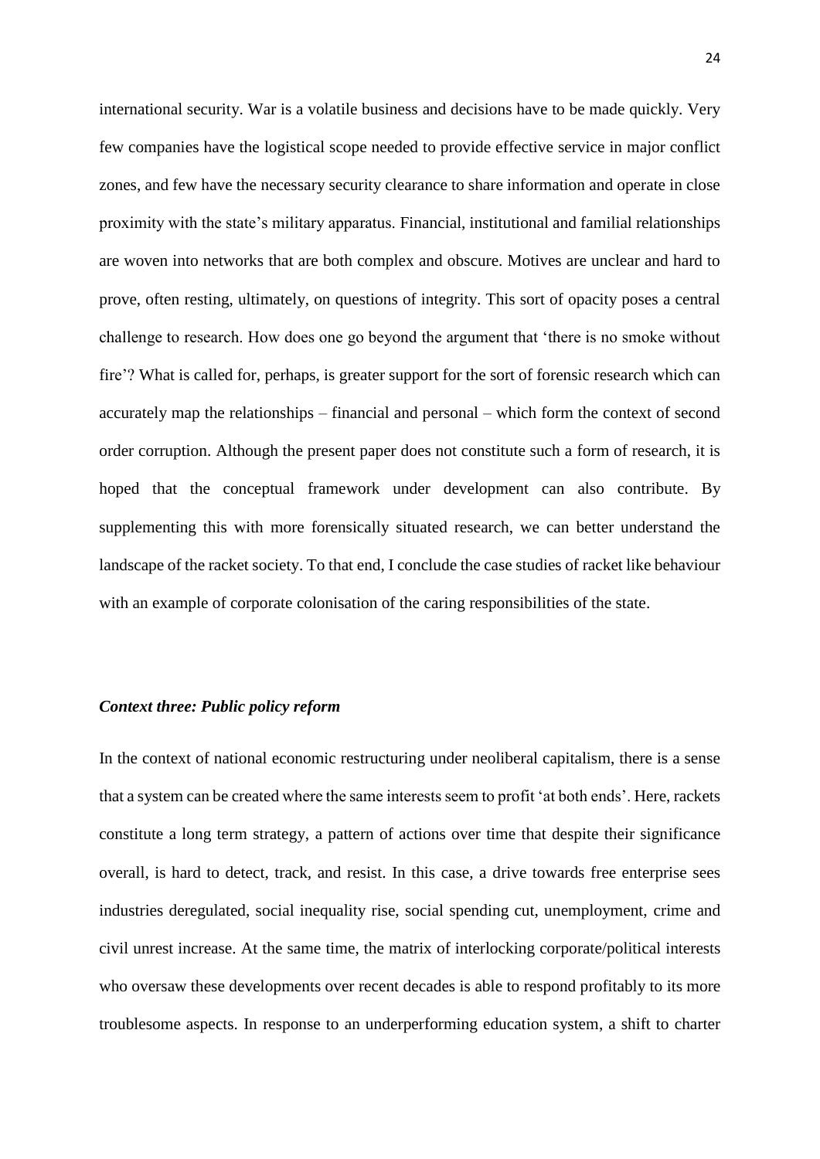international security. War is a volatile business and decisions have to be made quickly. Very few companies have the logistical scope needed to provide effective service in major conflict zones, and few have the necessary security clearance to share information and operate in close proximity with the state's military apparatus. Financial, institutional and familial relationships are woven into networks that are both complex and obscure. Motives are unclear and hard to prove, often resting, ultimately, on questions of integrity. This sort of opacity poses a central challenge to research. How does one go beyond the argument that 'there is no smoke without fire'? What is called for, perhaps, is greater support for the sort of forensic research which can accurately map the relationships – financial and personal – which form the context of second order corruption. Although the present paper does not constitute such a form of research, it is hoped that the conceptual framework under development can also contribute. By supplementing this with more forensically situated research, we can better understand the landscape of the racket society. To that end, I conclude the case studies of racket like behaviour with an example of corporate colonisation of the caring responsibilities of the state.

#### *Context three: Public policy reform*

In the context of national economic restructuring under neoliberal capitalism, there is a sense that a system can be created where the same interests seem to profit 'at both ends'. Here, rackets constitute a long term strategy, a pattern of actions over time that despite their significance overall, is hard to detect, track, and resist. In this case, a drive towards free enterprise sees industries deregulated, social inequality rise, social spending cut, unemployment, crime and civil unrest increase. At the same time, the matrix of interlocking corporate/political interests who oversaw these developments over recent decades is able to respond profitably to its more troublesome aspects. In response to an underperforming education system, a shift to charter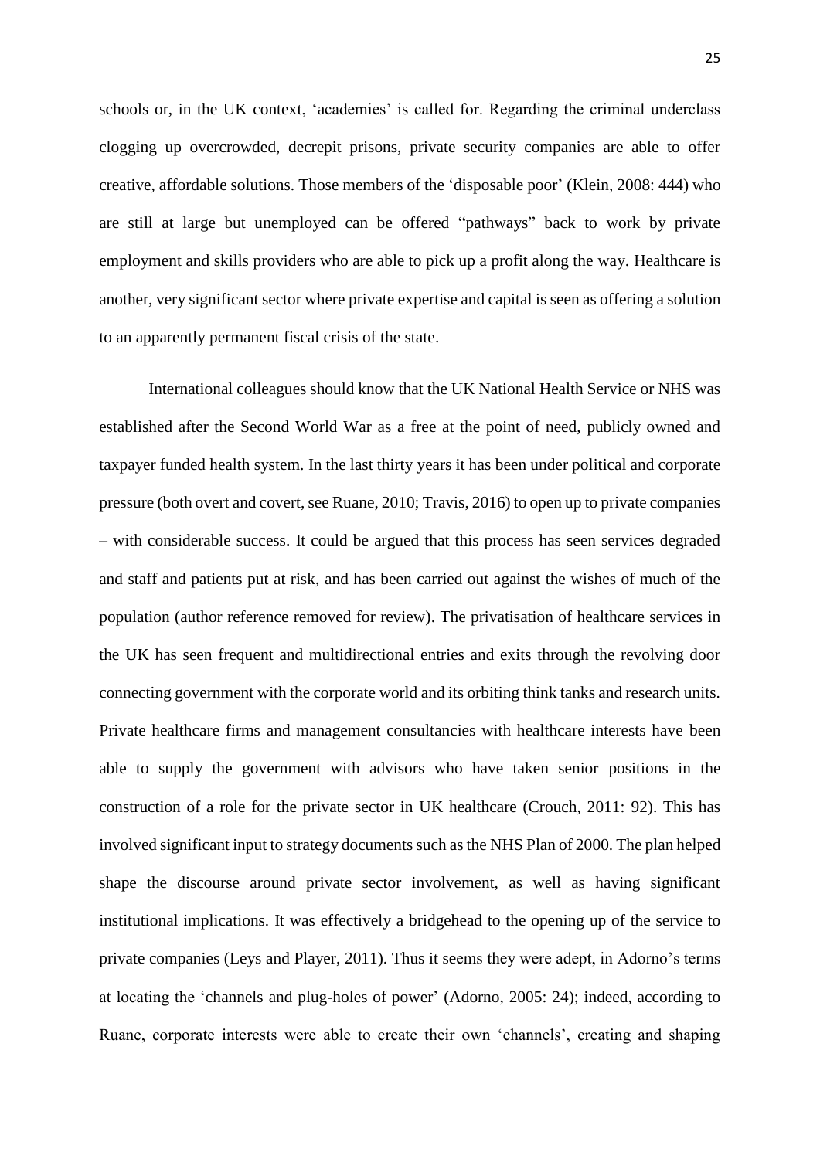schools or, in the UK context, 'academies' is called for. Regarding the criminal underclass clogging up overcrowded, decrepit prisons, private security companies are able to offer creative, affordable solutions. Those members of the 'disposable poor' (Klein, 2008: 444) who are still at large but unemployed can be offered "pathways" back to work by private employment and skills providers who are able to pick up a profit along the way. Healthcare is another, very significant sector where private expertise and capital is seen as offering a solution to an apparently permanent fiscal crisis of the state.

International colleagues should know that the UK National Health Service or NHS was established after the Second World War as a free at the point of need, publicly owned and taxpayer funded health system. In the last thirty years it has been under political and corporate pressure (both overt and covert, see Ruane, 2010; Travis, 2016) to open up to private companies – with considerable success. It could be argued that this process has seen services degraded and staff and patients put at risk, and has been carried out against the wishes of much of the population (author reference removed for review). The privatisation of healthcare services in the UK has seen frequent and multidirectional entries and exits through the revolving door connecting government with the corporate world and its orbiting think tanks and research units. Private healthcare firms and management consultancies with healthcare interests have been able to supply the government with advisors who have taken senior positions in the construction of a role for the private sector in UK healthcare (Crouch, 2011: 92). This has involved significant input to strategy documents such as the NHS Plan of 2000. The plan helped shape the discourse around private sector involvement, as well as having significant institutional implications. It was effectively a bridgehead to the opening up of the service to private companies (Leys and Player, 2011). Thus it seems they were adept, in Adorno's terms at locating the 'channels and plug-holes of power' (Adorno, 2005: 24); indeed, according to Ruane, corporate interests were able to create their own 'channels', creating and shaping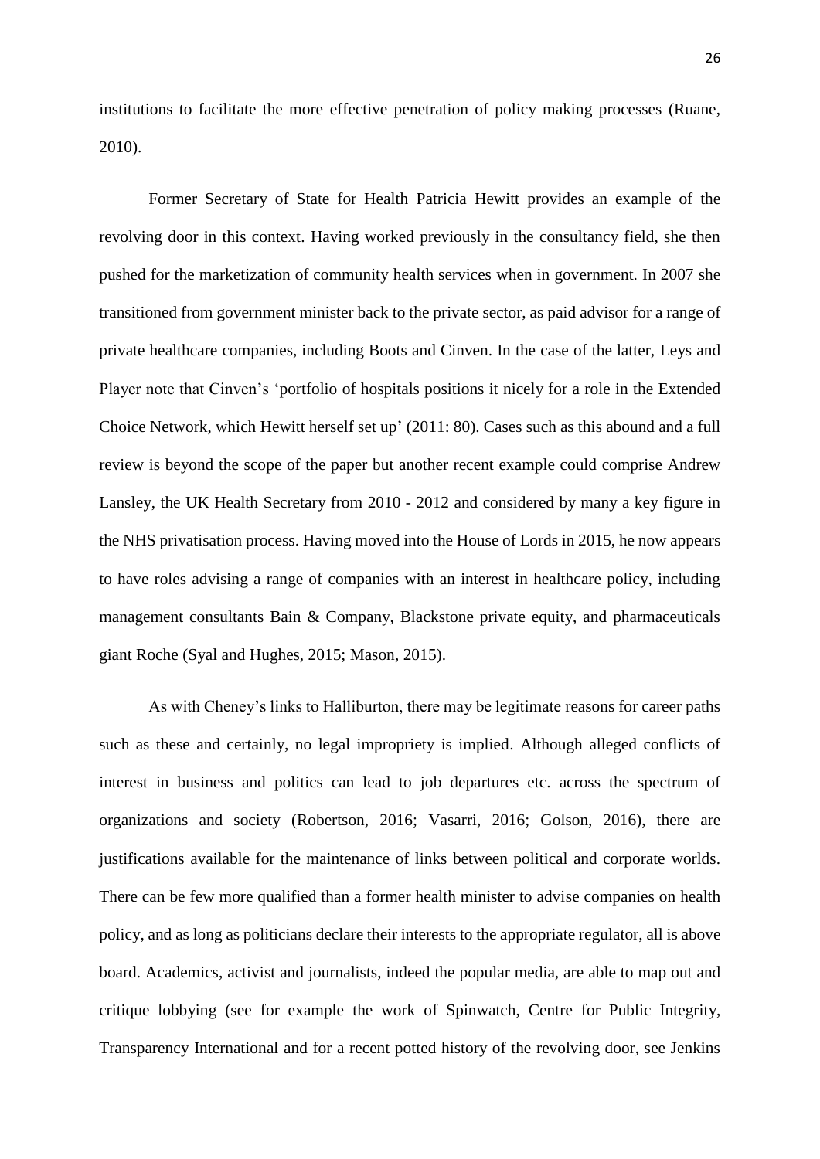institutions to facilitate the more effective penetration of policy making processes (Ruane, 2010).

Former Secretary of State for Health Patricia Hewitt provides an example of the revolving door in this context. Having worked previously in the consultancy field, she then pushed for the marketization of community health services when in government. In 2007 she transitioned from government minister back to the private sector, as paid advisor for a range of private healthcare companies, including Boots and Cinven. In the case of the latter, Leys and Player note that Cinven's 'portfolio of hospitals positions it nicely for a role in the Extended Choice Network, which Hewitt herself set up' (2011: 80). Cases such as this abound and a full review is beyond the scope of the paper but another recent example could comprise Andrew Lansley, the UK Health Secretary from 2010 - 2012 and considered by many a key figure in the NHS privatisation process. Having moved into the House of Lords in 2015, he now appears to have roles advising a range of companies with an interest in healthcare policy, including management consultants Bain & Company, Blackstone private equity, and pharmaceuticals giant Roche (Syal and Hughes, 2015; Mason, 2015).

As with Cheney's links to Halliburton, there may be legitimate reasons for career paths such as these and certainly, no legal impropriety is implied. Although alleged conflicts of interest in business and politics can lead to job departures etc. across the spectrum of organizations and society (Robertson, 2016; Vasarri, 2016; Golson, 2016), there are justifications available for the maintenance of links between political and corporate worlds. There can be few more qualified than a former health minister to advise companies on health policy, and as long as politicians declare their interests to the appropriate regulator, all is above board. Academics, activist and journalists, indeed the popular media, are able to map out and critique lobbying (see for example the work of Spinwatch, Centre for Public Integrity, Transparency International and for a recent potted history of the revolving door, see Jenkins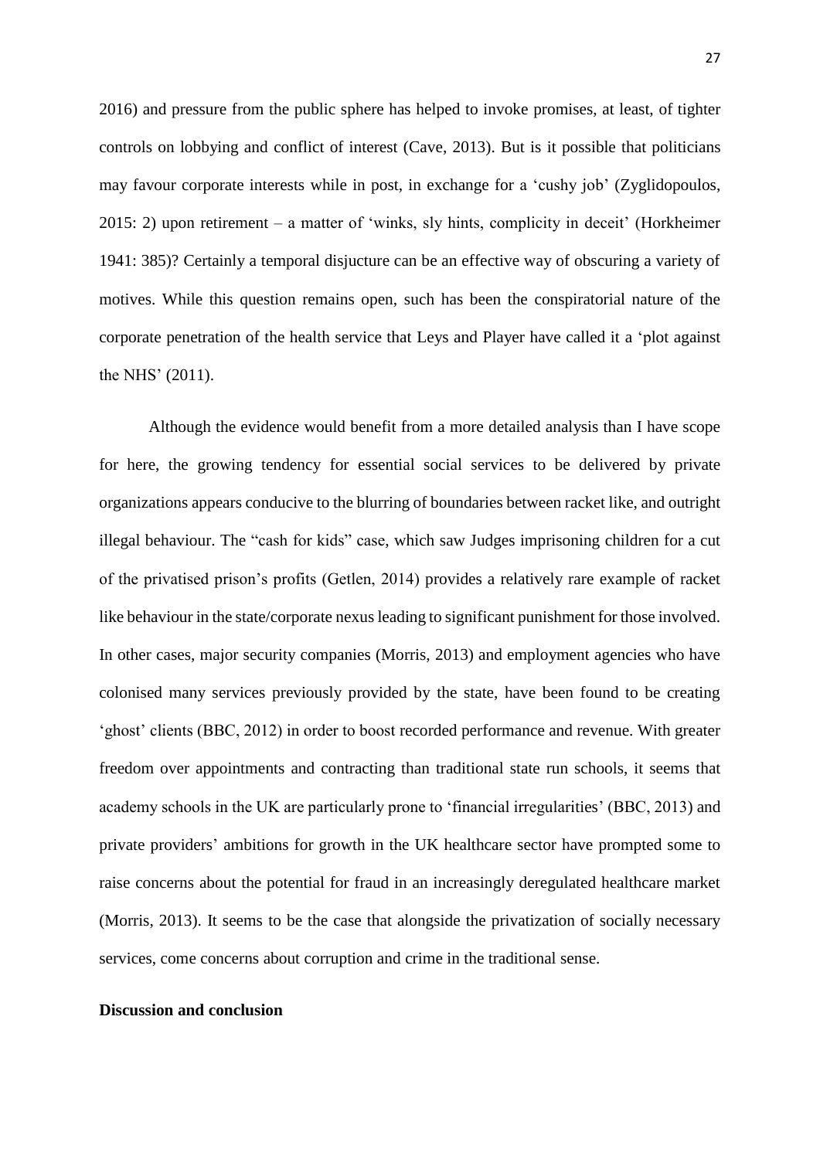2016) and pressure from the public sphere has helped to invoke promises, at least, of tighter controls on lobbying and conflict of interest (Cave, 2013). But is it possible that politicians may favour corporate interests while in post, in exchange for a 'cushy job' (Zyglidopoulos, 2015: 2) upon retirement – a matter of 'winks, sly hints, complicity in deceit' (Horkheimer 1941: 385)? Certainly a temporal disjucture can be an effective way of obscuring a variety of motives. While this question remains open, such has been the conspiratorial nature of the corporate penetration of the health service that Leys and Player have called it a 'plot against the NHS' (2011).

Although the evidence would benefit from a more detailed analysis than I have scope for here, the growing tendency for essential social services to be delivered by private organizations appears conducive to the blurring of boundaries between racket like, and outright illegal behaviour. The "cash for kids" case, which saw Judges imprisoning children for a cut of the privatised prison's profits (Getlen, 2014) provides a relatively rare example of racket like behaviour in the state/corporate nexus leading to significant punishment for those involved. In other cases, major security companies (Morris, 2013) and employment agencies who have colonised many services previously provided by the state, have been found to be creating 'ghost' clients (BBC, 2012) in order to boost recorded performance and revenue. With greater freedom over appointments and contracting than traditional state run schools, it seems that academy schools in the UK are particularly prone to 'financial irregularities' (BBC, 2013) and private providers' ambitions for growth in the UK healthcare sector have prompted some to raise concerns about the potential for fraud in an increasingly deregulated healthcare market (Morris, 2013). It seems to be the case that alongside the privatization of socially necessary services, come concerns about corruption and crime in the traditional sense.

#### **Discussion and conclusion**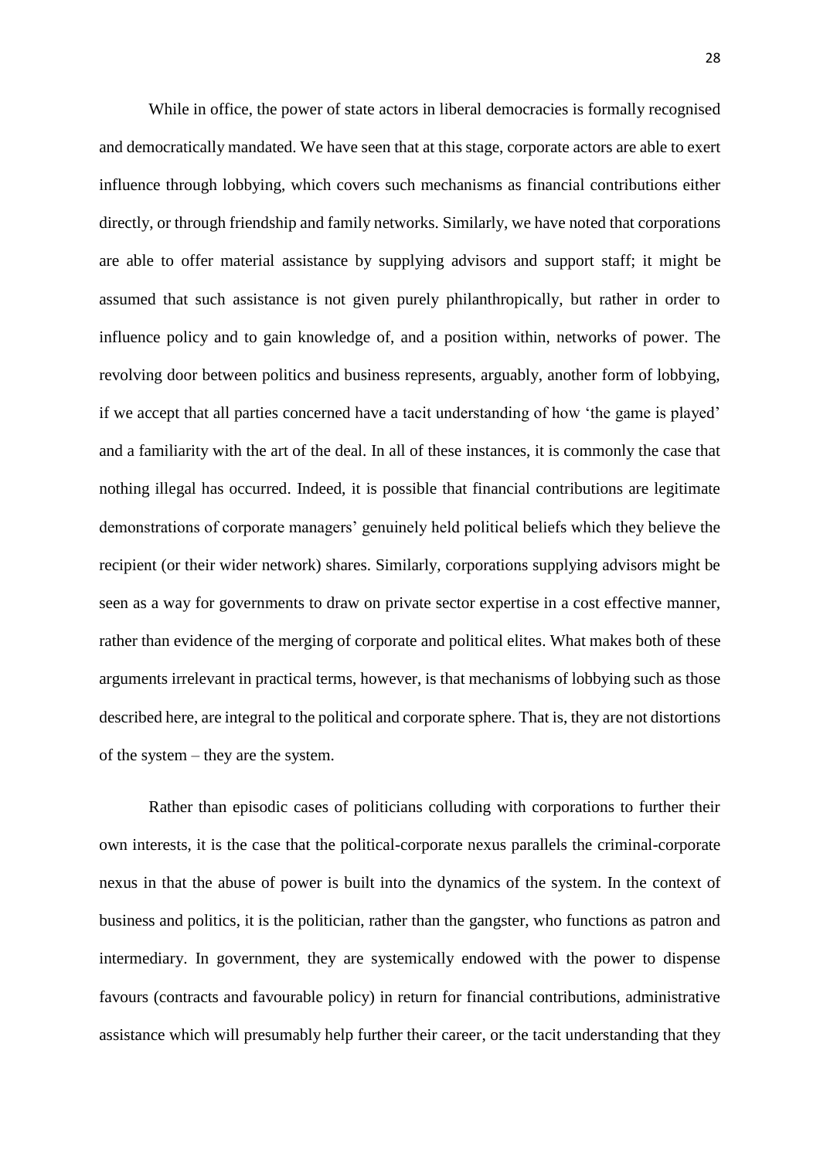While in office, the power of state actors in liberal democracies is formally recognised and democratically mandated. We have seen that at this stage, corporate actors are able to exert influence through lobbying, which covers such mechanisms as financial contributions either directly, or through friendship and family networks. Similarly, we have noted that corporations are able to offer material assistance by supplying advisors and support staff; it might be assumed that such assistance is not given purely philanthropically, but rather in order to influence policy and to gain knowledge of, and a position within, networks of power. The revolving door between politics and business represents, arguably, another form of lobbying, if we accept that all parties concerned have a tacit understanding of how 'the game is played' and a familiarity with the art of the deal. In all of these instances, it is commonly the case that nothing illegal has occurred. Indeed, it is possible that financial contributions are legitimate demonstrations of corporate managers' genuinely held political beliefs which they believe the recipient (or their wider network) shares. Similarly, corporations supplying advisors might be seen as a way for governments to draw on private sector expertise in a cost effective manner, rather than evidence of the merging of corporate and political elites. What makes both of these arguments irrelevant in practical terms, however, is that mechanisms of lobbying such as those described here, are integral to the political and corporate sphere. That is, they are not distortions of the system – they are the system.

Rather than episodic cases of politicians colluding with corporations to further their own interests, it is the case that the political-corporate nexus parallels the criminal-corporate nexus in that the abuse of power is built into the dynamics of the system. In the context of business and politics, it is the politician, rather than the gangster, who functions as patron and intermediary. In government, they are systemically endowed with the power to dispense favours (contracts and favourable policy) in return for financial contributions, administrative assistance which will presumably help further their career, or the tacit understanding that they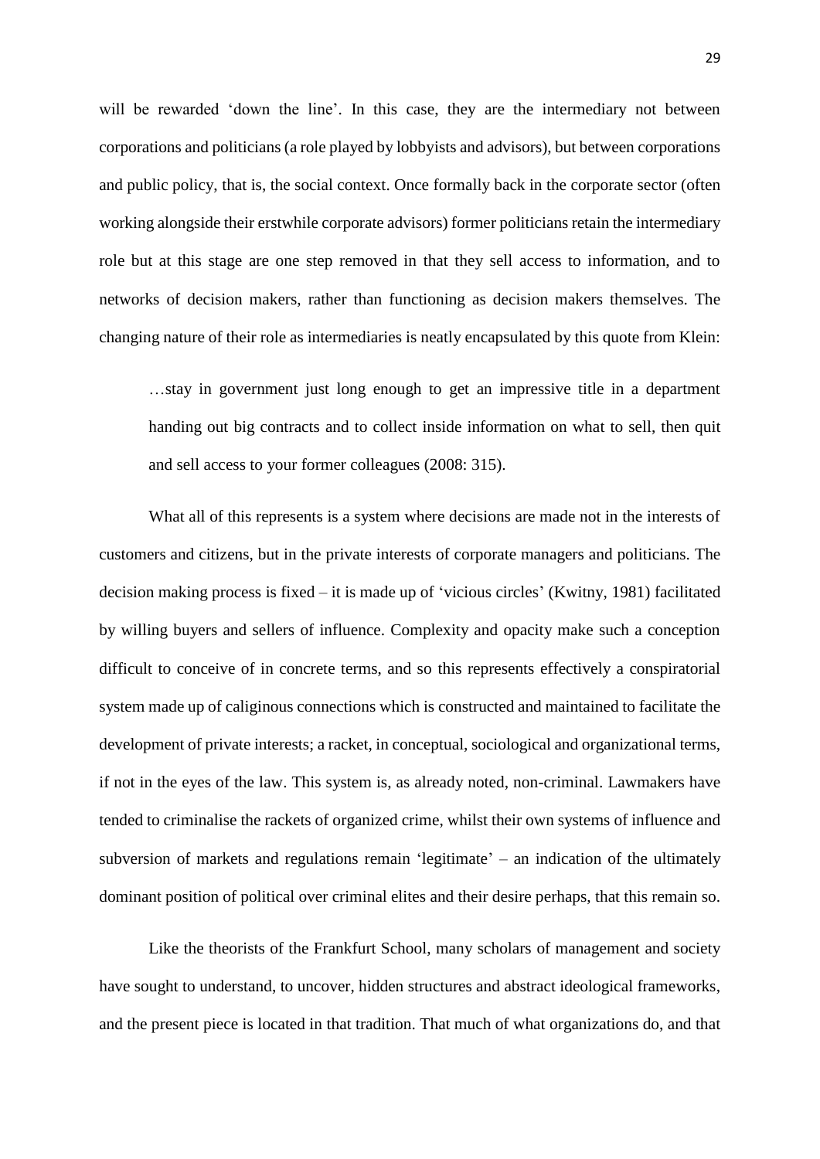will be rewarded 'down the line'. In this case, they are the intermediary not between corporations and politicians (a role played by lobbyists and advisors), but between corporations and public policy, that is, the social context. Once formally back in the corporate sector (often working alongside their erstwhile corporate advisors) former politicians retain the intermediary role but at this stage are one step removed in that they sell access to information, and to networks of decision makers, rather than functioning as decision makers themselves. The changing nature of their role as intermediaries is neatly encapsulated by this quote from Klein:

…stay in government just long enough to get an impressive title in a department handing out big contracts and to collect inside information on what to sell, then quit and sell access to your former colleagues (2008: 315).

What all of this represents is a system where decisions are made not in the interests of customers and citizens, but in the private interests of corporate managers and politicians. The decision making process is fixed – it is made up of 'vicious circles' (Kwitny, 1981) facilitated by willing buyers and sellers of influence. Complexity and opacity make such a conception difficult to conceive of in concrete terms, and so this represents effectively a conspiratorial system made up of caliginous connections which is constructed and maintained to facilitate the development of private interests; a racket, in conceptual, sociological and organizational terms, if not in the eyes of the law. This system is, as already noted, non-criminal. Lawmakers have tended to criminalise the rackets of organized crime, whilst their own systems of influence and subversion of markets and regulations remain 'legitimate' – an indication of the ultimately dominant position of political over criminal elites and their desire perhaps, that this remain so.

Like the theorists of the Frankfurt School, many scholars of management and society have sought to understand, to uncover, hidden structures and abstract ideological frameworks, and the present piece is located in that tradition. That much of what organizations do, and that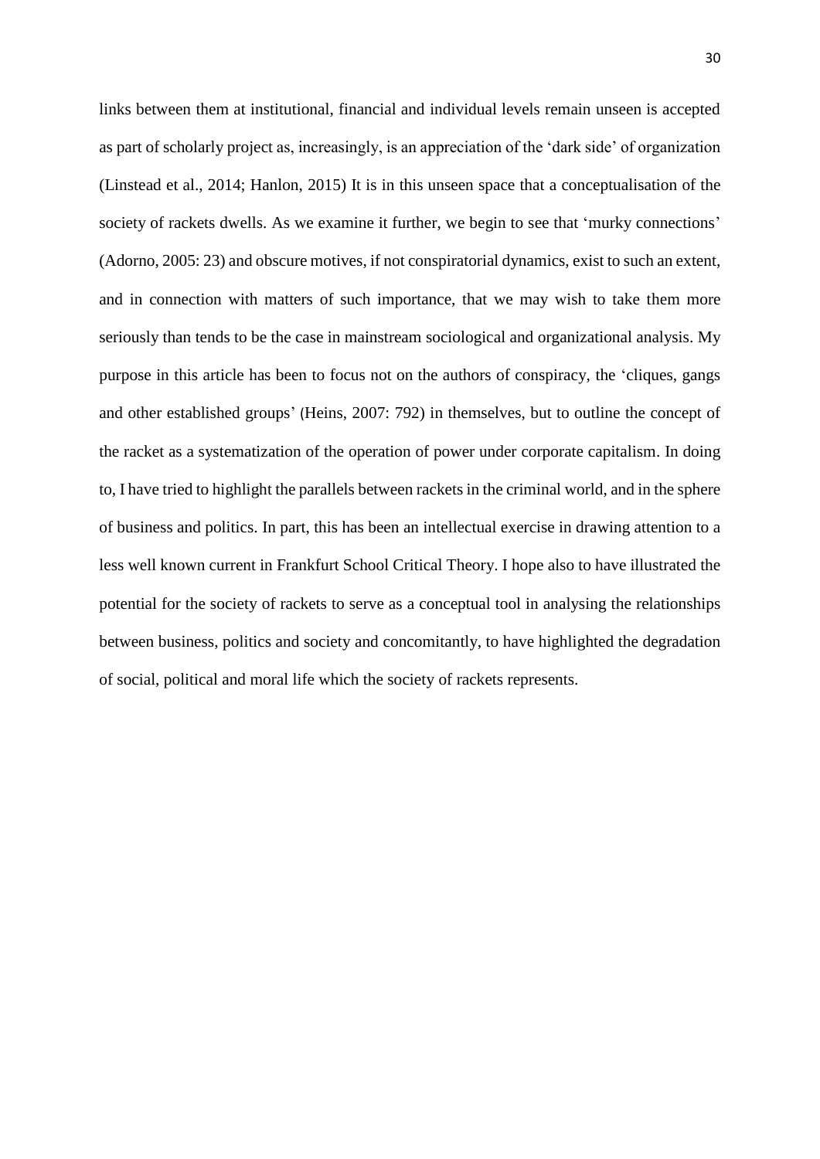links between them at institutional, financial and individual levels remain unseen is accepted as part of scholarly project as, increasingly, is an appreciation of the 'dark side' of organization (Linstead et al., 2014; Hanlon, 2015) It is in this unseen space that a conceptualisation of the society of rackets dwells. As we examine it further, we begin to see that 'murky connections' (Adorno, 2005: 23) and obscure motives, if not conspiratorial dynamics, exist to such an extent, and in connection with matters of such importance, that we may wish to take them more seriously than tends to be the case in mainstream sociological and organizational analysis. My purpose in this article has been to focus not on the authors of conspiracy, the 'cliques, gangs and other established groups' (Heins, 2007: 792) in themselves, but to outline the concept of the racket as a systematization of the operation of power under corporate capitalism. In doing to, I have tried to highlight the parallels between rackets in the criminal world, and in the sphere of business and politics. In part, this has been an intellectual exercise in drawing attention to a less well known current in Frankfurt School Critical Theory. I hope also to have illustrated the potential for the society of rackets to serve as a conceptual tool in analysing the relationships between business, politics and society and concomitantly, to have highlighted the degradation of social, political and moral life which the society of rackets represents.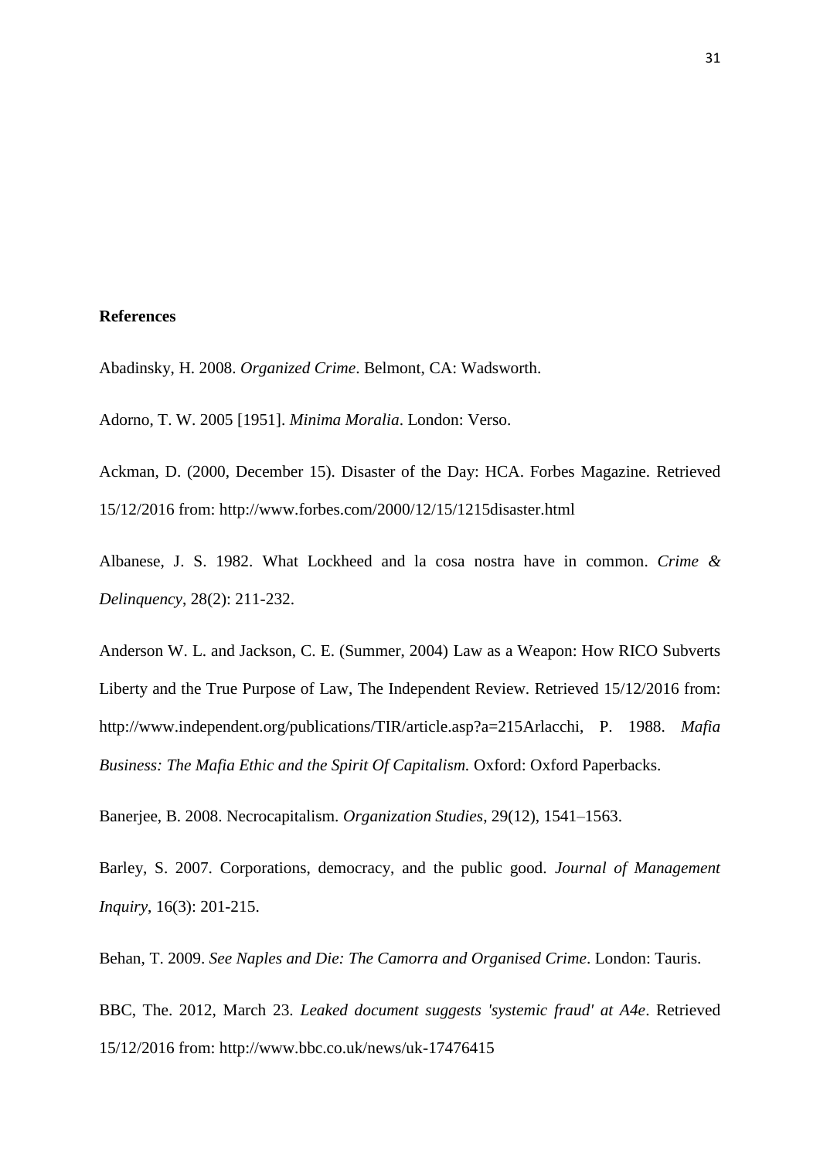#### **References**

Abadinsky, H. 2008. *Organized Crime*. Belmont, CA: Wadsworth.

Adorno, T. W. 2005 [1951]. *Minima Moralia*. London: Verso.

Ackman, D. (2000, December 15). Disaster of the Day: HCA. Forbes Magazine. Retrieved 15/12/2016 from: http://www.forbes.com/2000/12/15/1215disaster.html

Albanese, J. S. 1982. What Lockheed and la cosa nostra have in common. *Crime & Delinquency*, 28(2): 211-232.

Anderson W. L. and Jackson, C. E. (Summer, 2004) Law as a Weapon: How RICO Subverts Liberty and the True Purpose of Law, The Independent Review. Retrieved 15/12/2016 from: http://www.independent.org/publications/TIR/article.asp?a=215Arlacchi, P. 1988. *Mafia Business: The Mafia Ethic and the Spirit Of Capitalism.* Oxford: Oxford Paperbacks.

Banerjee, B. 2008. Necrocapitalism. *Organization Studies*, 29(12), 1541–1563.

Barley, S. 2007. Corporations, democracy, and the public good. *Journal of Management Inquiry*, 16(3): 201-215.

Behan, T. 2009. *See Naples and Die: The Camorra and Organised Crime*. London: Tauris.

BBC, The. 2012, March 23. *Leaked document suggests 'systemic fraud' at A4e*. Retrieved 15/12/2016 from: http://www.bbc.co.uk/news/uk-17476415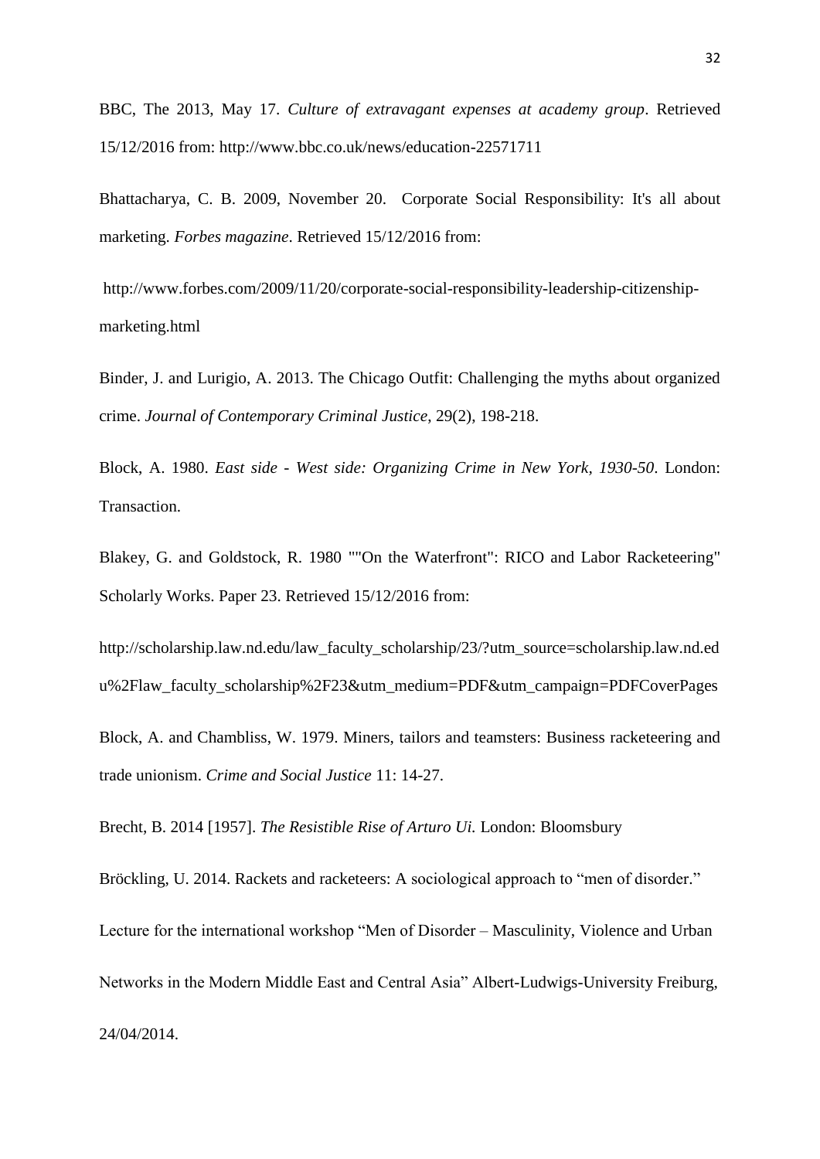BBC, The 2013, May 17. *Culture of extravagant expenses at academy group*. Retrieved 15/12/2016 from: http://www.bbc.co.uk/news/education-22571711

Bhattacharya, C. B. 2009, November 20. Corporate Social Responsibility: It's all about marketing. *Forbes magazine*. Retrieved 15/12/2016 from:

http://www.forbes.com/2009/11/20/corporate-social-responsibility-leadership-citizenshipmarketing.html

Binder, J. and Lurigio, A. 2013. The Chicago Outfit: Challenging the myths about organized crime. *Journal of Contemporary Criminal Justice*, 29(2), 198-218.

Block, A. 1980. *East side - West side: Organizing Crime in New York, 1930-50*. London: Transaction.

Blakey, G. and Goldstock, R. 1980 ""On the Waterfront": RICO and Labor Racketeering" Scholarly Works. Paper 23. Retrieved 15/12/2016 from:

http://scholarship.law.nd.edu/law\_faculty\_scholarship/23/?utm\_source=scholarship.law.nd.ed u%2Flaw\_faculty\_scholarship%2F23&utm\_medium=PDF&utm\_campaign=PDFCoverPages Block, A. and Chambliss, W. 1979. Miners, tailors and teamsters: Business racketeering and trade unionism. *Crime and Social Justice* 11: 14-27.

Brecht, B. 2014 [1957]. *The Resistible Rise of Arturo Ui.* London: Bloomsbury

Bröckling, U. 2014. Rackets and racketeers: A sociological approach to "men of disorder." Lecture for the international workshop "Men of Disorder – Masculinity, Violence and Urban Networks in the Modern Middle East and Central Asia" Albert-Ludwigs-University Freiburg, 24/04/2014.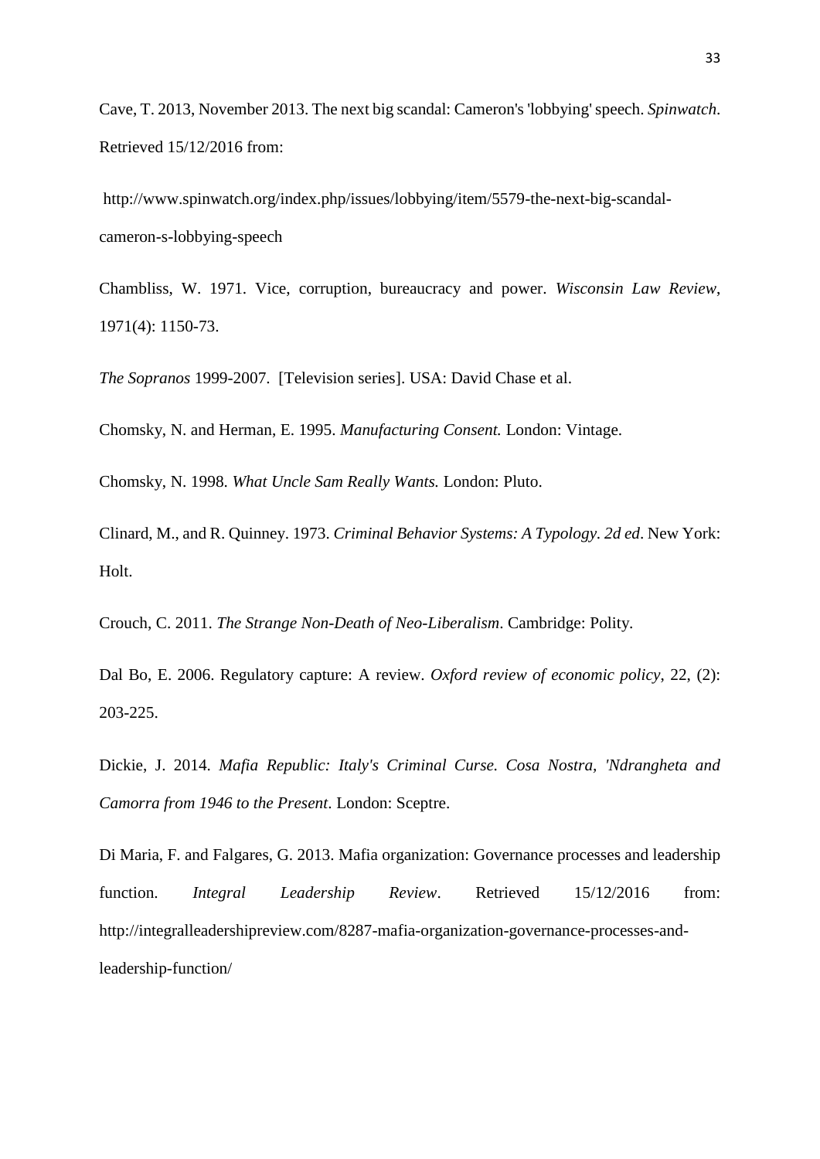Cave, T. 2013, November 2013. The next big scandal: Cameron's 'lobbying' speech. *Spinwatch*. Retrieved 15/12/2016 from:

http://www.spinwatch.org/index.php/issues/lobbying/item/5579-the-next-big-scandalcameron-s-lobbying-speech

Chambliss, W. 1971. Vice, corruption, bureaucracy and power. *Wisconsin Law Review*, 1971(4): 1150-73.

*The Sopranos* 1999-2007. [Television series]. USA: David Chase et al.

Chomsky, N. and Herman, E. 1995. *Manufacturing Consent.* London: Vintage.

Chomsky, N. 1998. *What Uncle Sam Really Wants.* London: Pluto.

Clinard, M., and R. Quinney. 1973. *Criminal Behavior Systems: A Typology. 2d ed*. New York: Holt.

Crouch, C. 2011. *The Strange Non-Death of Neo-Liberalism*. Cambridge: Polity.

Dal Bo, E. 2006. Regulatory capture: A review. *Oxford review of economic policy*, 22, (2): 203-225.

Dickie, J. 2014. *Mafia Republic: Italy's Criminal Curse. Cosa Nostra, 'Ndrangheta and Camorra from 1946 to the Present*. London: Sceptre.

Di Maria, F. and Falgares, G. 2013. Mafia organization: Governance processes and leadership function. *Integral Leadership Review*. Retrieved 15/12/2016 from: http://integralleadershipreview.com/8287-mafia-organization-governance-processes-andleadership-function/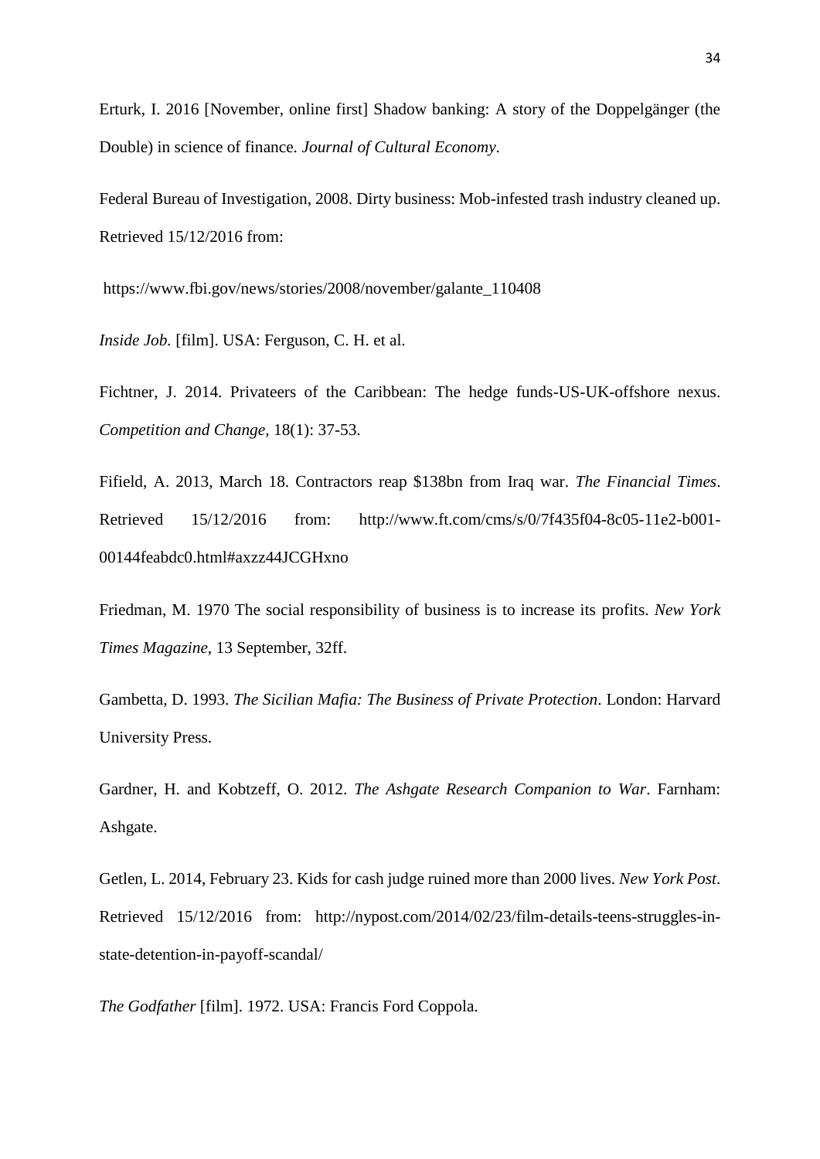Erturk, I. 2016 [November, online first] Shadow banking: A story of the Doppelgänger (the Double) in science of finance. *Journal of Cultural Economy*.

Federal Bureau of Investigation, 2008. Dirty business: Mob-infested trash industry cleaned up. Retrieved 15/12/2016 from:

https://www.fbi.gov/news/stories/2008/november/galante\_110408

*Inside Job.* [film]. USA: Ferguson, C. H. et al.

Fichtner, J. 2014. Privateers of the Caribbean: The hedge funds-US-UK-offshore nexus. *Competition and Change*, 18(1): 37-53.

Fifield, A. 2013, March 18. Contractors reap \$138bn from Iraq war. *The Financial Times*. Retrieved 15/12/2016 from: http://www.ft.com/cms/s/0/7f435f04-8c05-11e2-b001- 00144feabdc0.html#axzz44JCGHxno

Friedman, M. 1970 The social responsibility of business is to increase its profits. *New York Times Magazine*, 13 September, 32ff.

Gambetta, D. 1993. *The Sicilian Mafia: The Business of Private Protection*. London: Harvard University Press.

Gardner, H. and Kobtzeff, O. 2012. *The Ashgate Research Companion to War*. Farnham: Ashgate.

Getlen, L. 2014, February 23. Kids for cash judge ruined more than 2000 lives. *New York Post*. Retrieved 15/12/2016 from: http://nypost.com/2014/02/23/film-details-teens-struggles-instate-detention-in-payoff-scandal/

*The Godfather* [film]. 1972. USA: Francis Ford Coppola.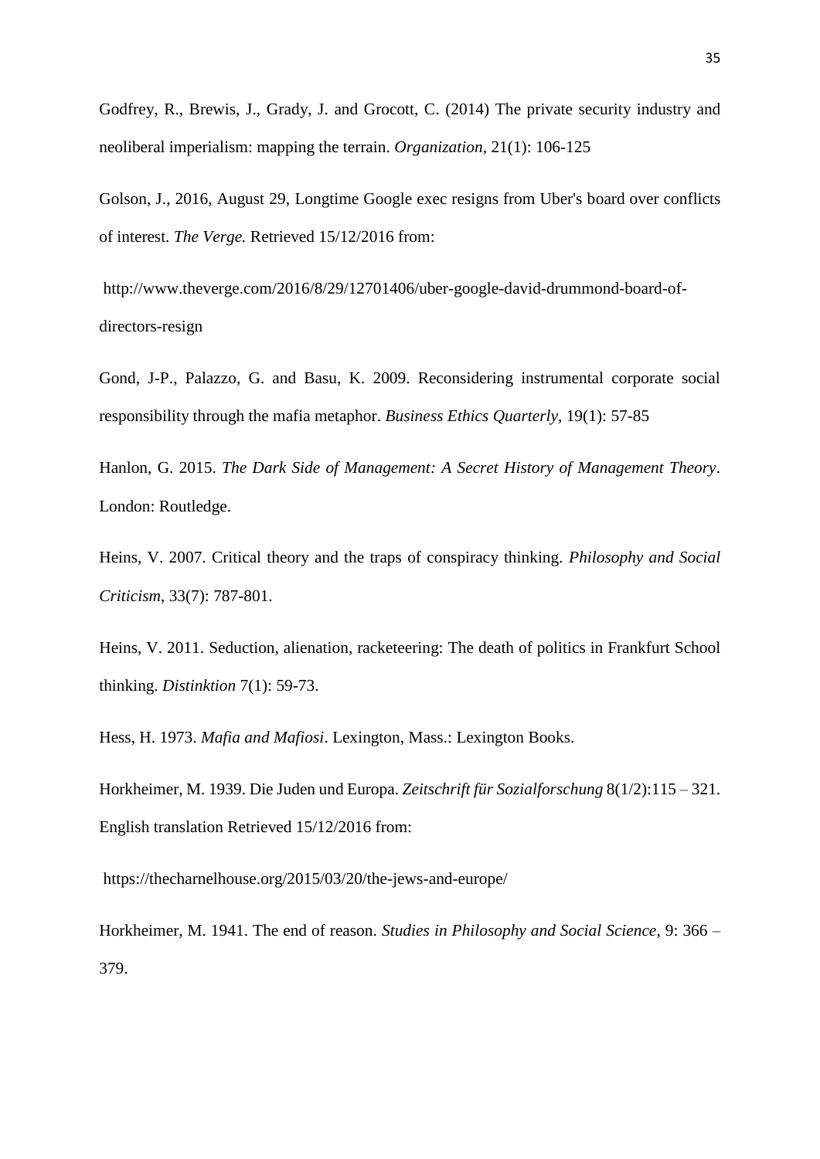Godfrey, R., Brewis, J., Grady, J. and Grocott, C. (2014) The private security industry and neoliberal imperialism: mapping the terrain. *Organization*, 21(1): 106-125

Golson, J., 2016, August 29, Longtime Google exec resigns from Uber's board over conflicts of interest. *The Verge.* Retrieved 15/12/2016 from:

http://www.theverge.com/2016/8/29/12701406/uber-google-david-drummond-board-ofdirectors-resign

Gond, J-P., Palazzo, G. and Basu, K. 2009. Reconsidering instrumental corporate social responsibility through the mafia metaphor. *Business Ethics Quarterly*, 19(1): 57-85

Hanlon, G. 2015. *The Dark Side of Management: A Secret History of Management Theory*. London: Routledge.

Heins, V. 2007. Critical theory and the traps of conspiracy thinking*. Philosophy and Social Criticism*, 33(7): 787-801.

Heins, V. 2011. Seduction, alienation, racketeering: The death of politics in Frankfurt School thinking. *Distinktion* 7(1): 59-73.

Hess, H. 1973. *Mafia and Mafiosi*. Lexington, Mass.: Lexington Books.

Horkheimer, M. 1939. Die Juden und Europa. *Zeitschrift für Sozialforschung* 8(1/2):115 – 321. English translation Retrieved 15/12/2016 from:

https://thecharnelhouse.org/2015/03/20/the-jews-and-europe/

Horkheimer, M. 1941. The end of reason. *Studies in Philosophy and Social Science*, 9: 366 – 379.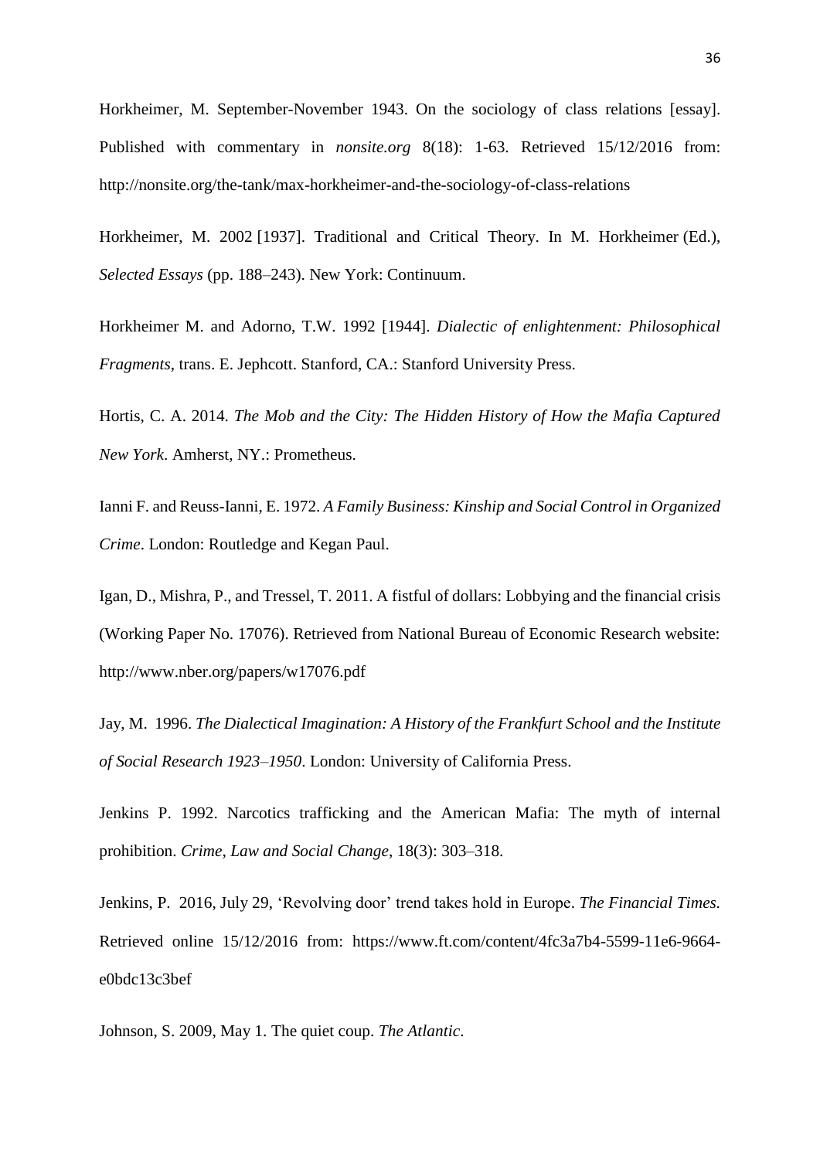Horkheimer, M. September-November 1943. On the sociology of class relations [essay]. Published with commentary in *nonsite.org* 8(18): 1-63. Retrieved 15/12/2016 from: http://nonsite.org/the-tank/max-horkheimer-and-the-sociology-of-class-relations

Horkheimer, M. 2002 [1937]. Traditional and Critical Theory. In M. Horkheimer (Ed.), *Selected Essays* (pp. 188–243). New York: Continuum.

Horkheimer M. and Adorno, T.W. 1992 [1944]. *Dialectic of enlightenment: Philosophical Fragments*, trans. E. Jephcott. Stanford, CA.: Stanford University Press.

Hortis, C. A. 2014. *The Mob and the City: The Hidden History of How the Mafia Captured New York*. Amherst, NY.: Prometheus.

Ianni F. and Reuss-Ianni, E. 1972. *A Family Business: Kinship and Social Control in Organized Crime*. London: Routledge and Kegan Paul.

Igan, D., Mishra, P., and Tressel, T. 2011. A fistful of dollars: Lobbying and the financial crisis (Working Paper No. 17076). Retrieved from National Bureau of Economic Research website: http://www.nber.org/papers/w17076.pdf

Jay, M. 1996. *The Dialectical Imagination: A History of the Frankfurt School and the Institute of Social Research 1923–1950*. London: University of California Press.

Jenkins P. 1992. Narcotics trafficking and the American Mafia: The myth of internal prohibition. *Crime, Law and Social Change*, 18(3): 303–318.

Jenkins, P. 2016, July 29, 'Revolving door' trend takes hold in Europe. *The Financial Times.* Retrieved online 15/12/2016 from: https://www.ft.com/content/4fc3a7b4-5599-11e6-9664 e0bdc13c3bef

Johnson, S. 2009, May 1. The quiet coup. *The Atlantic*.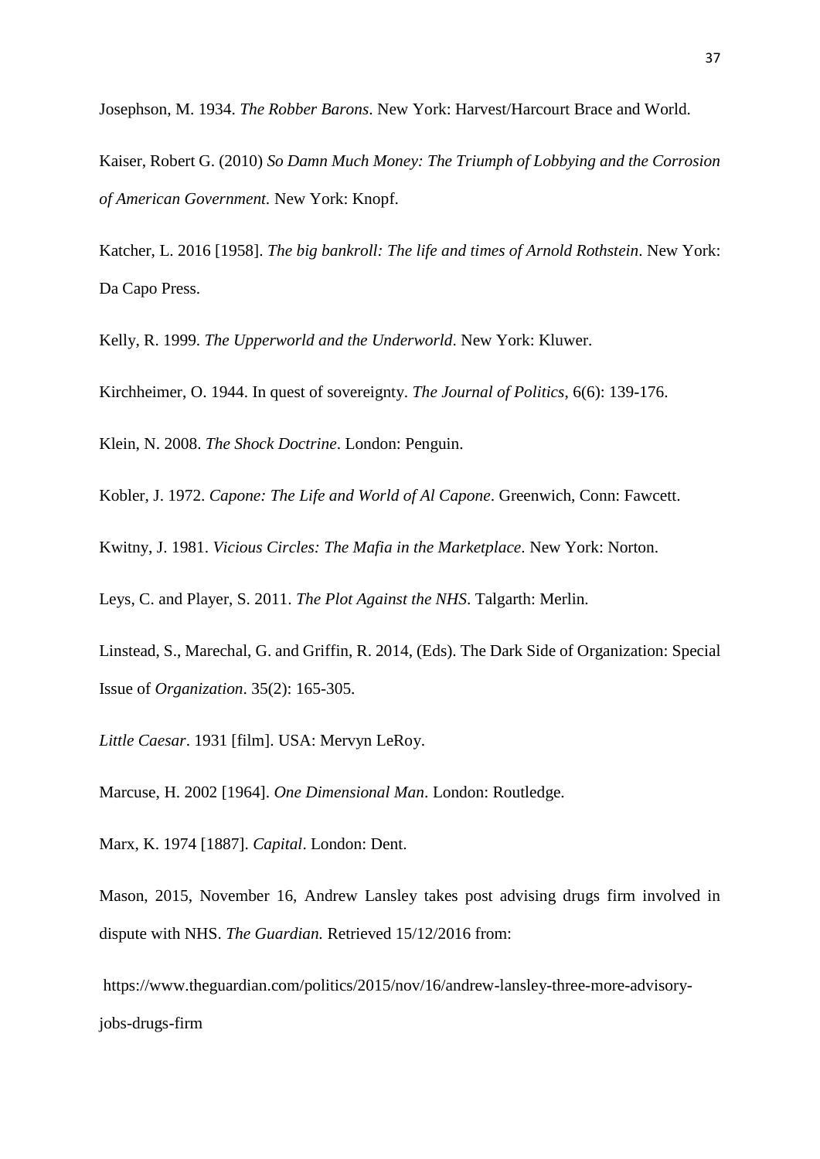Josephson, M. 1934. *The Robber Barons*. New York: Harvest/Harcourt Brace and World.

Kaiser, Robert G. (2010) *So Damn Much Money: The Triumph of Lobbying and the Corrosion of American Government.* New York: Knopf.

Katcher, L. 2016 [1958]. *The big bankroll: The life and times of Arnold Rothstein*. New York: Da Capo Press.

Kelly, R. 1999. *The Upperworld and the Underworld*. New York: Kluwer.

Kirchheimer, O. 1944. In quest of sovereignty. *The Journal of Politics*, 6(6): 139-176.

Klein, N. 2008. *The Shock Doctrine*. London: Penguin.

Kobler, J. 1972. *Capone: The Life and World of Al Capone*. Greenwich, Conn: Fawcett.

Kwitny, J. 1981. *Vicious Circles: The Mafia in the Marketplace*. New York: Norton.

Leys, C. and Player, S. 2011. *The Plot Against the NHS*. Talgarth: Merlin.

Linstead, S., Marechal, G. and Griffin, R. 2014, (Eds). The Dark Side of Organization: Special Issue of *Organization*. 35(2): 165-305.

*Little Caesar*. 1931 [film]. USA: Mervyn LeRoy.

Marcuse, H. 2002 [1964]. *One Dimensional Man*. London: Routledge.

Marx, K. 1974 [1887]. *Capital*. London: Dent.

Mason, 2015, November 16, Andrew Lansley takes post advising drugs firm involved in dispute with NHS. *The Guardian.* Retrieved 15/12/2016 from:

https://www.theguardian.com/politics/2015/nov/16/andrew-lansley-three-more-advisoryjobs-drugs-firm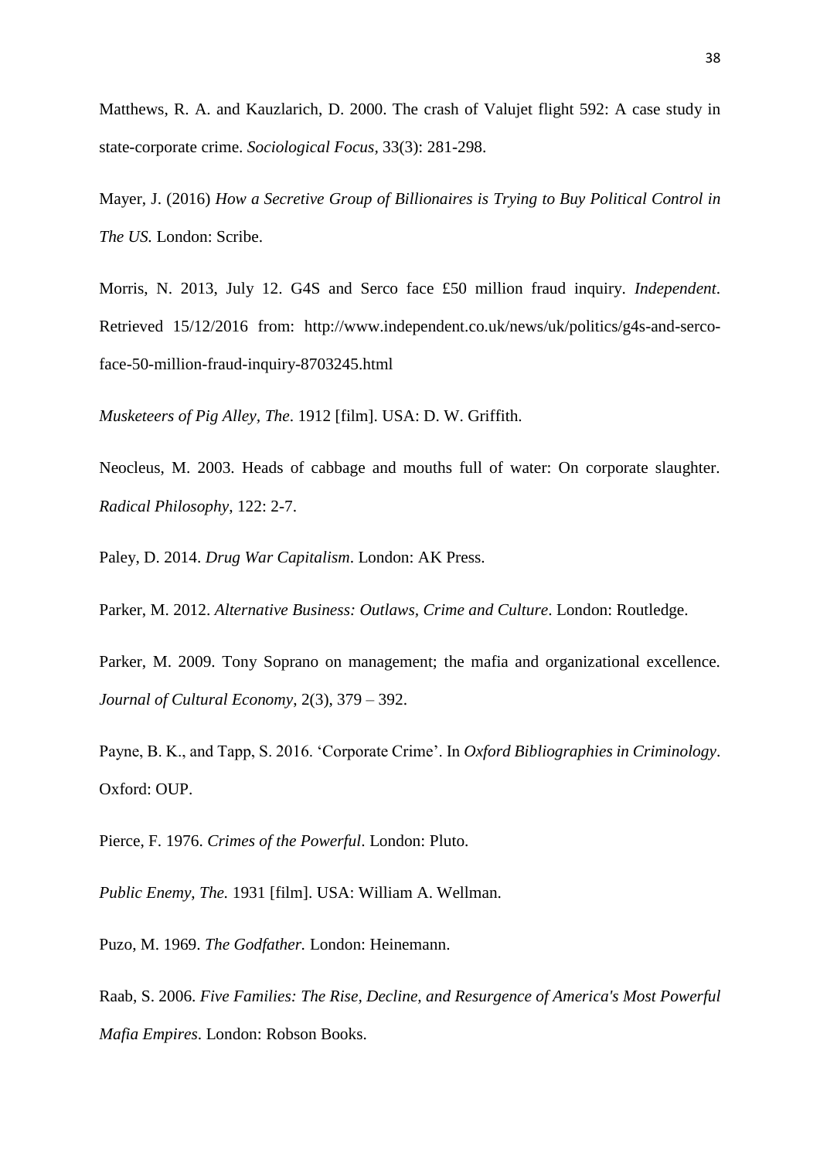Matthews, R. A. and Kauzlarich, D. 2000. The crash of Valujet flight 592: A case study in state-corporate crime. *Sociological Focus,* 33(3): 281-298.

Mayer, J. (2016) *How a Secretive Group of Billionaires is Trying to Buy Political Control in The US.* London: Scribe.

Morris, N. 2013, July 12. G4S and Serco face £50 million fraud inquiry. *Independent*. Retrieved 15/12/2016 from: http://www.independent.co.uk/news/uk/politics/g4s-and-sercoface-50-million-fraud-inquiry-8703245.html

*Musketeers of Pig Alley, The*. 1912 [film]. USA: D. W. Griffith.

Neocleus, M. 2003. Heads of cabbage and mouths full of water: On corporate slaughter. *Radical Philosophy*, 122: 2-7.

Paley, D. 2014. *Drug War Capitalism*. London: AK Press.

Parker, M. 2012. *Alternative Business: Outlaws, Crime and Culture*. London: Routledge.

Parker, M. 2009. Tony Soprano on management; the mafia and organizational excellence. *Journal of Cultural Economy*, 2(3), 379 – 392.

Payne, B. K., and Tapp, S. 2016. 'Corporate Crime'. In *Oxford Bibliographies in Criminology*. Oxford: OUP.

Pierce, F. 1976. *Crimes of the Powerful*. London: Pluto.

*Public Enemy*, *The.* 1931 [film]. USA: William A. Wellman.

Puzo, M. 1969. *The Godfather.* London: Heinemann.

Raab, S. 2006. *Five Families: The Rise, Decline, and Resurgence of America's Most Powerful Mafia Empires*. London: Robson Books.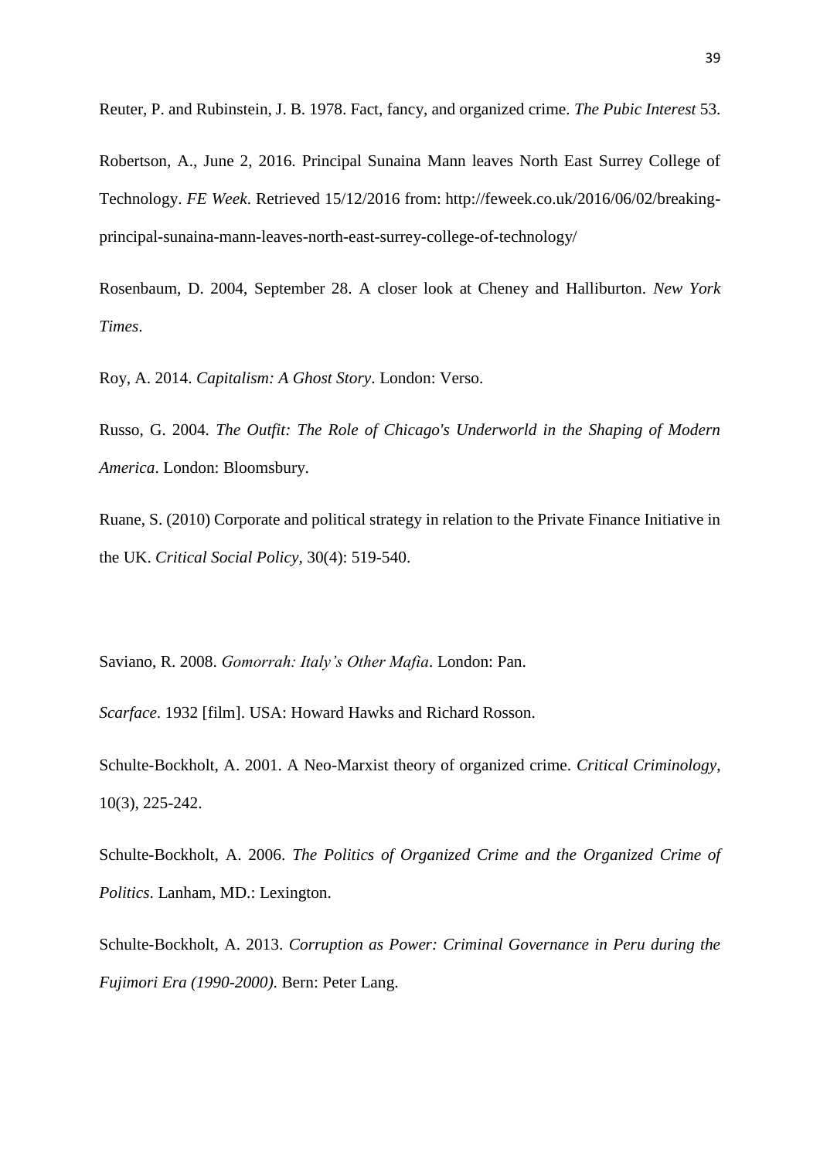Reuter, P. and Rubinstein, J. B. 1978. Fact, fancy, and organized crime. *The Pubic Interest* 53.

Robertson, A., June 2, 2016. Principal Sunaina Mann leaves North East Surrey College of Technology. *FE Week*. Retrieved 15/12/2016 from: http://feweek.co.uk/2016/06/02/breakingprincipal-sunaina-mann-leaves-north-east-surrey-college-of-technology/

Rosenbaum, D. 2004, September 28. A closer look at Cheney and Halliburton. *New York Times*.

Roy, A. 2014. *Capitalism: A Ghost Story*. London: Verso.

Russo, G. 2004. *The Outfit: The Role of Chicago's Underworld in the Shaping of Modern America*. London: Bloomsbury.

Ruane, S. (2010) Corporate and political strategy in relation to the Private Finance Initiative in the UK. *Critical Social Policy,* 30(4): 519-540.

Saviano, R. 2008. *Gomorrah: Italy's Other Mafia*. London: Pan.

*Scarface*. 1932 [film]. USA: Howard Hawks and Richard Rosson.

Schulte-Bockholt, A. 2001. A Neo-Marxist theory of organized crime. *Critical Criminology*, 10(3), 225-242.

Schulte-Bockholt, A. 2006. *The Politics of Organized Crime and the Organized Crime of Politics*. Lanham, MD.: Lexington.

Schulte-Bockholt, A. 2013. *Corruption as Power: Criminal Governance in Peru during the Fujimori Era (1990-2000)*. Bern: Peter Lang.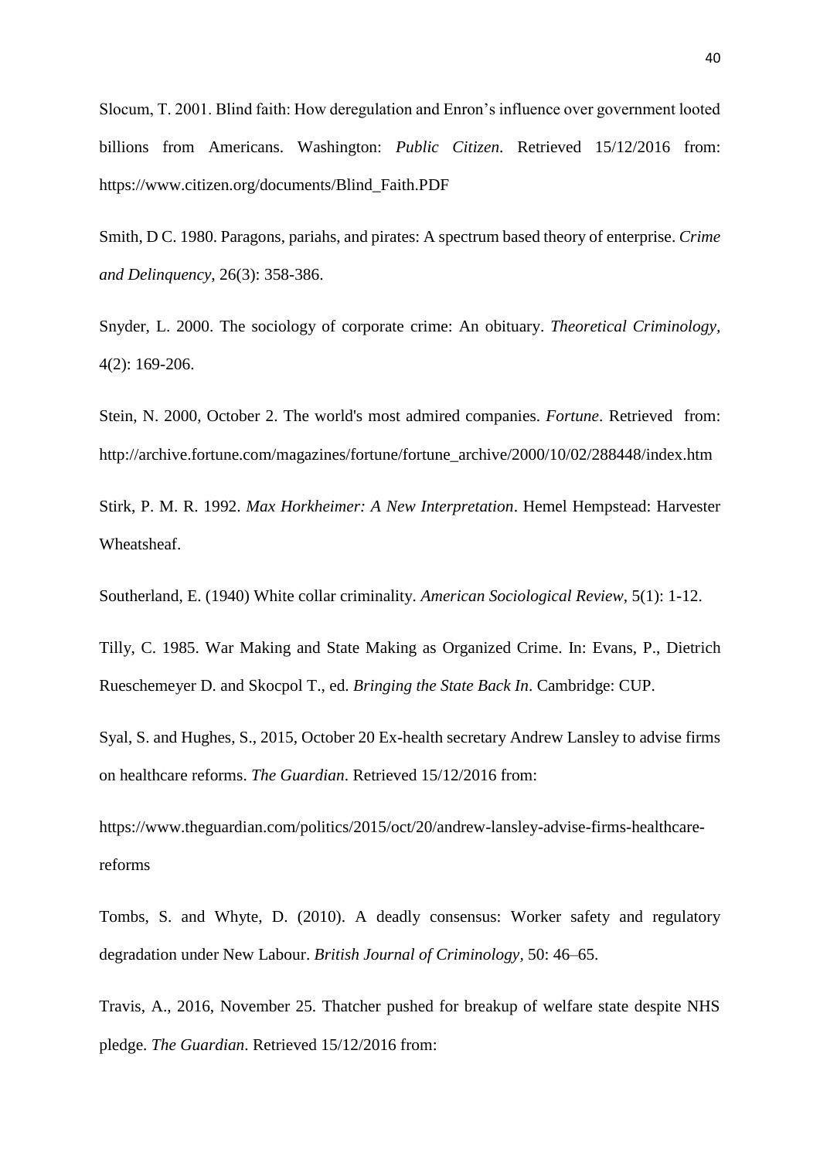Slocum, T. 2001. Blind faith: How deregulation and Enron's influence over government looted billions from Americans. Washington: *Public Citizen*. Retrieved 15/12/2016 from: https://www.citizen.org/documents/Blind\_Faith.PDF

Smith, D C. 1980. Paragons, pariahs, and pirates: A spectrum based theory of enterprise. *Crime and Delinquency*, 26(3): 358-386.

Snyder, L. 2000. The sociology of corporate crime: An obituary. *Theoretical Criminology,* 4(2): 169-206.

Stein, N. 2000, October 2. The world's most admired companies. *Fortune*. Retrieved from: http://archive.fortune.com/magazines/fortune/fortune\_archive/2000/10/02/288448/index.htm

Stirk, P. M. R. 1992. *Max Horkheimer: A New Interpretation*. Hemel Hempstead: Harvester Wheatsheaf.

Southerland, E. (1940) White collar criminality. *American Sociological Review*, 5(1): 1-12.

Tilly, C. 1985. War Making and State Making as Organized Crime. In: Evans, P., Dietrich Rueschemeyer D. and Skocpol T., ed. *Bringing the State Back In*. Cambridge: CUP.

Syal, S. and Hughes, S., 2015, October 20 Ex-health secretary Andrew Lansley to advise firms on healthcare reforms. *The Guardian*. Retrieved 15/12/2016 from:

https://www.theguardian.com/politics/2015/oct/20/andrew-lansley-advise-firms-healthcarereforms

Tombs, S. and Whyte, D. (2010). A deadly consensus: Worker safety and regulatory degradation under New Labour. *British Journal of Criminology,* 50: 46–65.

Travis, A., 2016, November 25. Thatcher pushed for breakup of welfare state despite NHS pledge. *The Guardian*. Retrieved 15/12/2016 from: